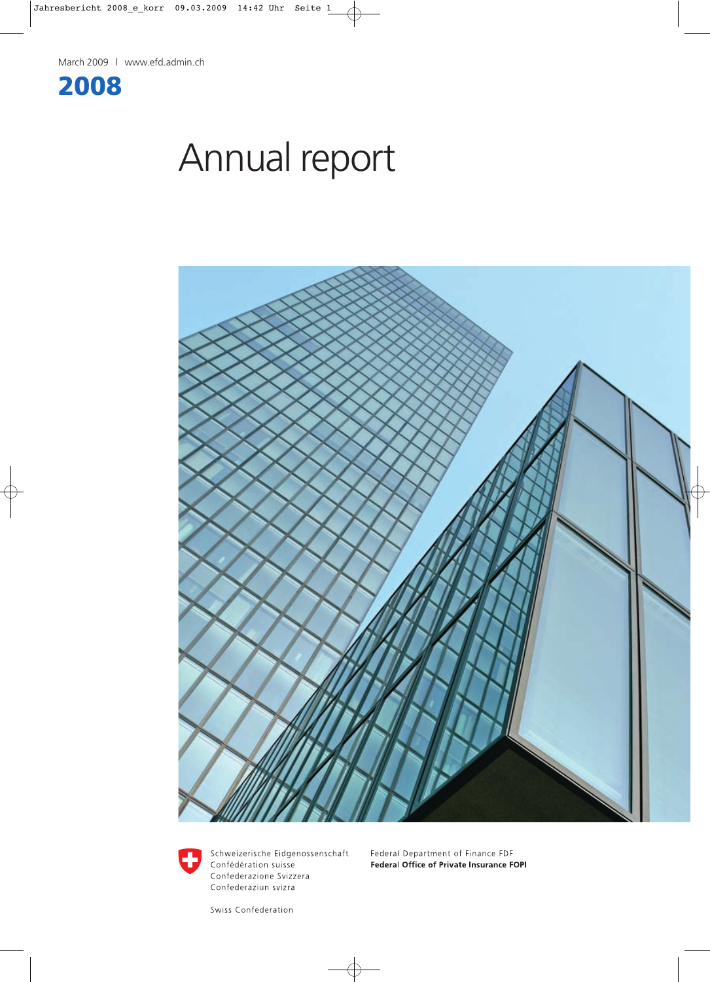

# Annual report





Schweizerische Eidgenossenschaft Confédération suisse Confederazione Svizzera Confederaziun svizra

Federal Department of Finance FDF Federal Office of Private Insurance FOPI

Swiss Confederation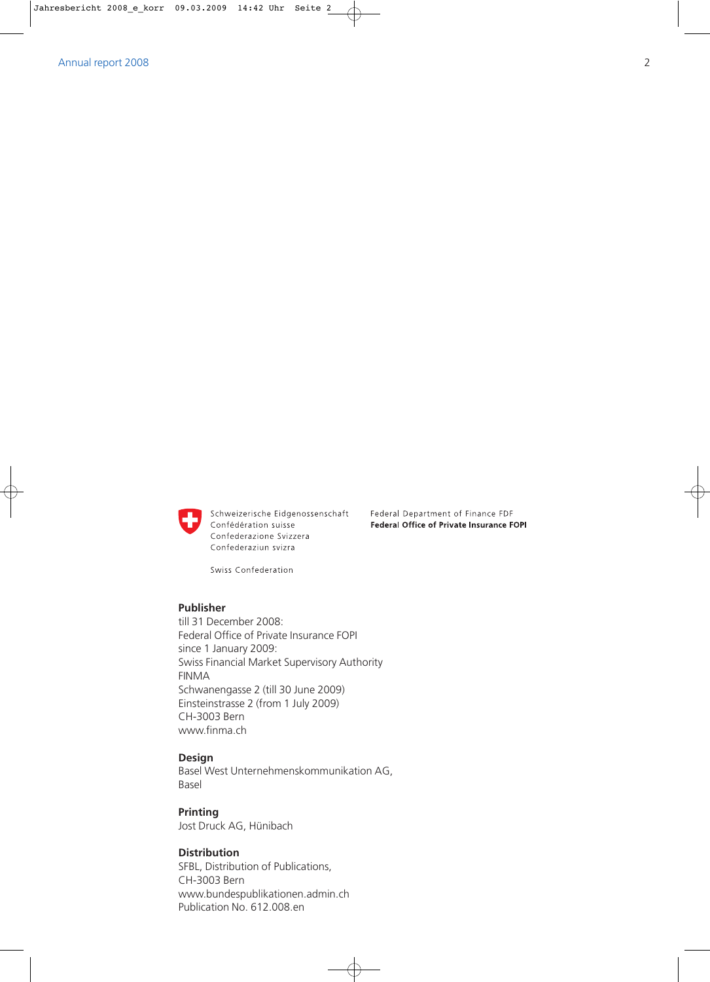

Schweizerische Eidgenossenschaft Confédération suisse Confederazione Svizzera Confederaziun svizra

Federal Department of Finance FDF

Federal Office of Private Insurance FOPI

Swiss Confederation

## **Publisher**

till 31 December 2008: Federal Office of Private Insurance FOPI since 1 January 2009: Swiss Financial Market Supervisory Authority FINMA Schwanengasse 2 (till 30 June 2009) Einsteinstrasse 2 (from 1 July 2009) CH-3003 Bern www.finma.ch

### **Design**

Basel West Unternehmenskommunikation AG, Basel

**Printing** Jost Druck AG, Hünibach

# **Distribution**

SFBL, Distribution of Publications, CH-3003 Bern www.bundespublikationen.admin.ch Publication No. 612.008.en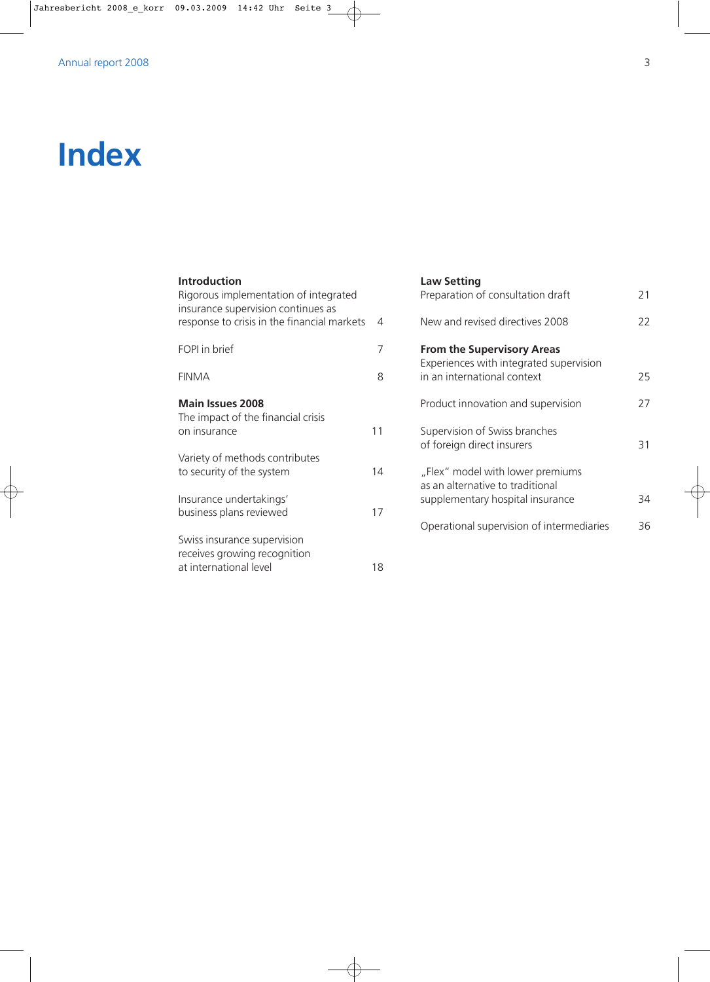# **Index**

#### **Law Setting** Preparation of consultation draft 21 New and revised directives 2008 22 **From the Supervisory Areas** Experiences with integrated supervision in an international context 25 Product innovation and supervision 27 Supervision of Swiss branches of foreign direct insurers 31 "Flex" model with lower premiums as an alternative to traditional supplementary hospital insurance 34 Operational supervision of intermediaries 36 **Introduction** Rigorous implementation of integrated insurance supervision continues as response to crisis in the financial markets 4 FOPI in brief 7 FINMA 8 **Main Issues 2008** The impact of the financial crisis on insurance 11 Variety of methods contributes to security of the system and the system and the system of  $14$ Insurance undertakings' business plans reviewed 17 Swiss insurance supervision receives growing recognition at international level 18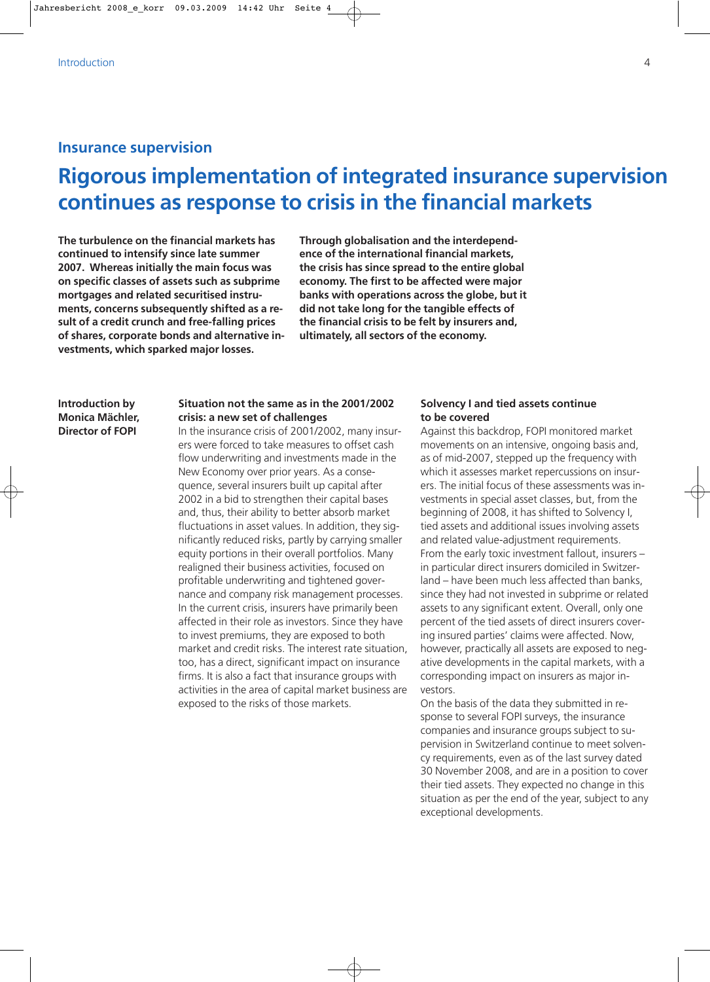# **Insurance supervision**

# **Rigorous implementation of integrated insurance supervision continues as response to crisis in the financial markets**

**The turbulence on the financial markets has continued to intensify since late summer 2007. Whereas initially the main focus was on specific classes of assets such as subprime mortgages and related securitised instruments, concerns subsequently shifted as a result of a credit crunch and free-falling prices of shares, corporate bonds and alternative investments, which sparked major losses.**

**Through globalisation and the interdependence of the international financial markets, the crisis has since spread to the entire global economy. The first to be affected were major banks with operations across the globe, but it did not take long for the tangible effects of the financial crisis to be felt by insurers and, ultimately, all sectors of the economy.**

**Introduction by Monica Mächler, Director of FOPI**

# **Situation not the same as in the 2001/2002 crisis: a new set of challenges**

In the insurance crisis of 2001/2002, many insurers were forced to take measures to offset cash flow underwriting and investments made in the New Economy over prior years. As a consequence, several insurers built up capital after 2002 in a bid to strengthen their capital bases and, thus, their ability to better absorb market fluctuations in asset values. In addition, they significantly reduced risks, partly by carrying smaller equity portions in their overall portfolios. Many realigned their business activities, focused on profitable underwriting and tightened governance and company risk management processes. In the current crisis, insurers have primarily been affected in their role as investors. Since they have to invest premiums, they are exposed to both market and credit risks. The interest rate situation, too, has a direct, significant impact on insurance firms. It is also a fact that insurance groups with activities in the area of capital market business are exposed to the risks of those markets.

# **Solvency I and tied assets continue to be covered**

Against this backdrop, FOPI monitored market movements on an intensive, ongoing basis and, as of mid-2007, stepped up the frequency with which it assesses market repercussions on insurers. The initial focus of these assessments was investments in special asset classes, but, from the beginning of 2008, it has shifted to Solvency I, tied assets and additional issues involving assets and related value-adjustment requirements. From the early toxic investment fallout, insurers – in particular direct insurers domiciled in Switzerland – have been much less affected than banks, since they had not invested in subprime or related assets to any significant extent. Overall, only one percent of the tied assets of direct insurers covering insured parties' claims were affected. Now, however, practically all assets are exposed to negative developments in the capital markets, with a corresponding impact on insurers as major investors.

On the basis of the data they submitted in response to several FOPI surveys, the insurance companies and insurance groups subject to supervision in Switzerland continue to meet solvency requirements, even as of the last survey dated 30 November 2008, and are in a position to cover their tied assets. They expected no change in this situation as per the end of the year, subject to any exceptional developments.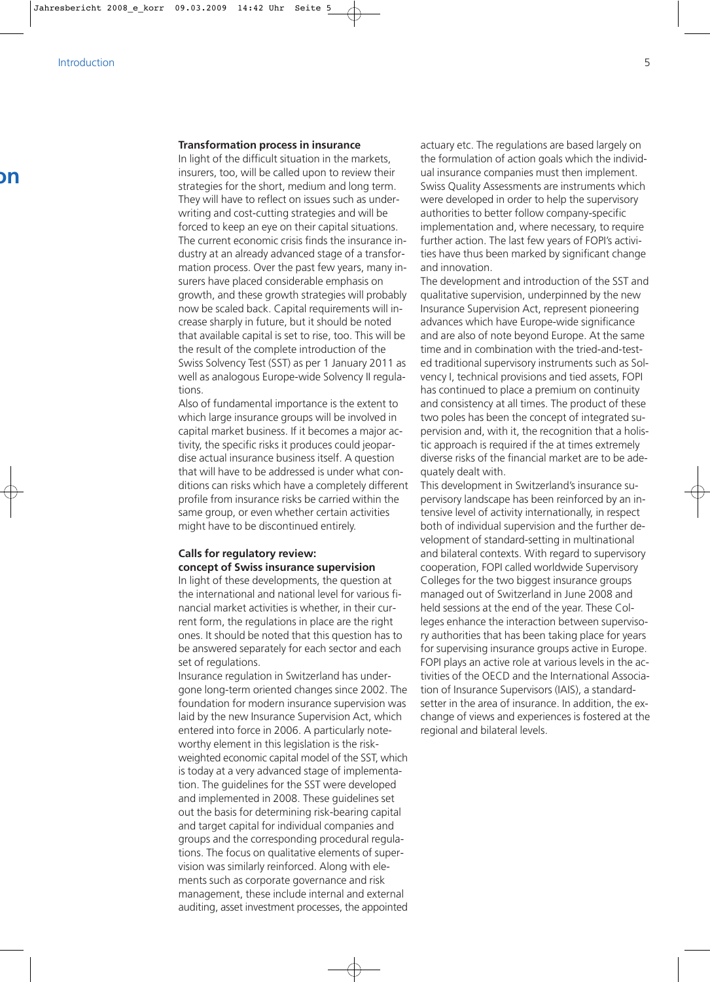### **Transformation process in insurance**

In light of the difficult situation in the markets, insurers, too, will be called upon to review their strategies for the short, medium and long term. They will have to reflect on issues such as underwriting and cost-cutting strategies and will be forced to keep an eye on their capital situations. The current economic crisis finds the insurance industry at an already advanced stage of a transformation process. Over the past few years, many insurers have placed considerable emphasis on growth, and these growth strategies will probably now be scaled back. Capital requirements will increase sharply in future, but it should be noted that available capital is set to rise, too. This will be the result of the complete introduction of the Swiss Solvency Test (SST) as per 1 January 2011 as well as analogous Europe-wide Solvency II regulations.

Also of fundamental importance is the extent to which large insurance groups will be involved in capital market business. If it becomes a major activity, the specific risks it produces could jeopardise actual insurance business itself. A question that will have to be addressed is under what conditions can risks which have a completely different profile from insurance risks be carried within the same group, or even whether certain activities might have to be discontinued entirely.

# **Calls for regulatory review: concept of Swiss insurance supervision**

In light of these developments, the question at the international and national level for various financial market activities is whether, in their current form, the regulations in place are the right ones. It should be noted that this question has to be answered separately for each sector and each set of regulations.

Insurance regulation in Switzerland has undergone long-term oriented changes since 2002. The foundation for modern insurance supervision was laid by the new Insurance Supervision Act, which entered into force in 2006. A particularly noteworthy element in this legislation is the riskweighted economic capital model of the SST, which is today at a very advanced stage of implementation. The guidelines for the SST were developed and implemented in 2008. These guidelines set out the basis for determining risk-bearing capital and target capital for individual companies and groups and the corresponding procedural regulations. The focus on qualitative elements of supervision was similarly reinforced. Along with elements such as corporate governance and risk management, these include internal and external auditing, asset investment processes, the appointed

actuary etc. The regulations are based largely on the formulation of action goals which the individual insurance companies must then implement. Swiss Quality Assessments are instruments which were developed in order to help the supervisory authorities to better follow company-specific implementation and, where necessary, to require further action. The last few years of FOPI's activities have thus been marked by significant change and innovation.

The development and introduction of the SST and qualitative supervision, underpinned by the new Insurance Supervision Act, represent pioneering advances which have Europe-wide significance and are also of note beyond Europe. At the same time and in combination with the tried-and-tested traditional supervisory instruments such as Solvency I, technical provisions and tied assets, FOPI has continued to place a premium on continuity and consistency at all times. The product of these two poles has been the concept of integrated supervision and, with it, the recognition that a holistic approach is required if the at times extremely diverse risks of the financial market are to be adequately dealt with.

This development in Switzerland's insurance supervisory landscape has been reinforced by an intensive level of activity internationally, in respect both of individual supervision and the further development of standard-setting in multinational and bilateral contexts. With regard to supervisory cooperation, FOPI called worldwide Supervisory Colleges for the two biggest insurance groups managed out of Switzerland in June 2008 and held sessions at the end of the year. These Colleges enhance the interaction between supervisory authorities that has been taking place for years for supervising insurance groups active in Europe. FOPI plays an active role at various levels in the activities of the OECD and the International Association of Insurance Supervisors (IAIS), a standardsetter in the area of insurance. In addition, the exchange of views and experiences is fostered at the regional and bilateral levels.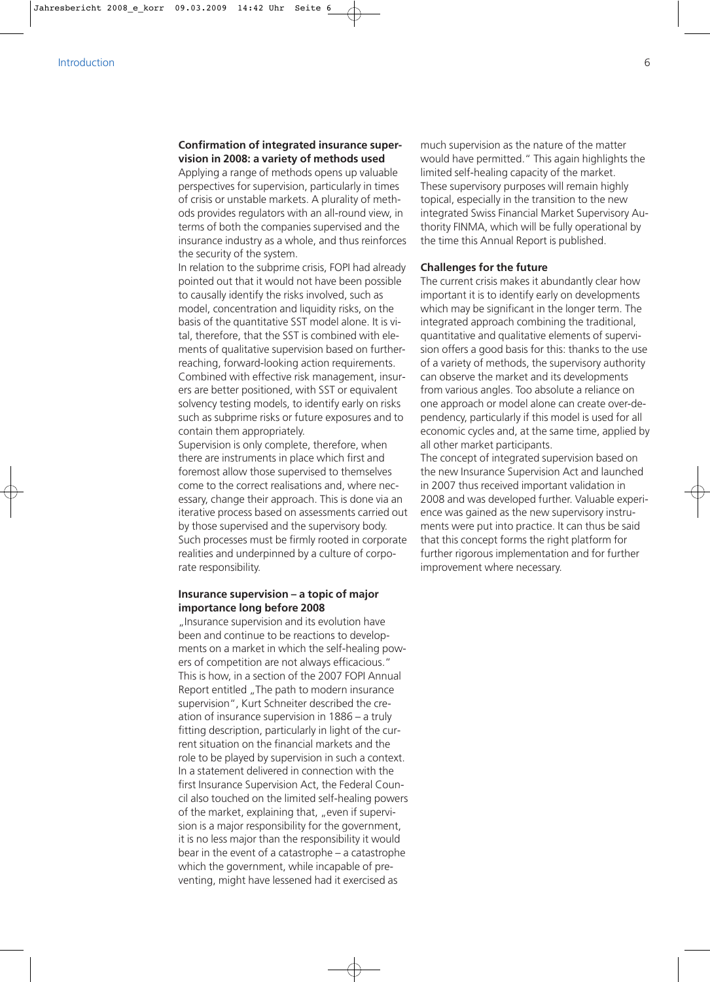## **Confirmation of integrated insurance supervision in 2008: a variety of methods used**

Applying a range of methods opens up valuable perspectives for supervision, particularly in times of crisis or unstable markets. A plurality of methods provides regulators with an all-round view, in terms of both the companies supervised and the insurance industry as a whole, and thus reinforces the security of the system.

In relation to the subprime crisis, FOPI had already pointed out that it would not have been possible to causally identify the risks involved, such as model, concentration and liquidity risks, on the basis of the quantitative SST model alone. It is vital, therefore, that the SST is combined with elements of qualitative supervision based on furtherreaching, forward-looking action requirements. Combined with effective risk management, insurers are better positioned, with SST or equivalent solvency testing models, to identify early on risks such as subprime risks or future exposures and to contain them appropriately.

Supervision is only complete, therefore, when there are instruments in place which first and foremost allow those supervised to themselves come to the correct realisations and, where necessary, change their approach. This is done via an iterative process based on assessments carried out by those supervised and the supervisory body. Such processes must be firmly rooted in corporate realities and underpinned by a culture of corporate responsibility.

# **Insurance supervision – a topic of major importance long before 2008**

"Insurance supervision and its evolution have been and continue to be reactions to developments on a market in which the self-healing powers of competition are not always efficacious." This is how, in a section of the 2007 FOPI Annual Report entitled "The path to modern insurance supervision", Kurt Schneiter described the creation of insurance supervision in 1886 – a truly fitting description, particularly in light of the current situation on the financial markets and the role to be played by supervision in such a context. In a statement delivered in connection with the first Insurance Supervision Act, the Federal Council also touched on the limited self-healing powers of the market, explaining that, "even if supervision is a major responsibility for the government, it is no less major than the responsibility it would bear in the event of a catastrophe – a catastrophe which the government, while incapable of preventing, might have lessened had it exercised as

much supervision as the nature of the matter would have permitted." This again highlights the limited self-healing capacity of the market. These supervisory purposes will remain highly topical, especially in the transition to the new integrated Swiss Financial Market Supervisory Authority FINMA, which will be fully operational by the time this Annual Report is published.

## **Challenges for the future**

The current crisis makes it abundantly clear how important it is to identify early on developments which may be significant in the longer term. The integrated approach combining the traditional, quantitative and qualitative elements of supervision offers a good basis for this: thanks to the use of a variety of methods, the supervisory authority can observe the market and its developments from various angles. Too absolute a reliance on one approach or model alone can create over-dependency, particularly if this model is used for all economic cycles and, at the same time, applied by all other market participants.

The concept of integrated supervision based on the new Insurance Supervision Act and launched in 2007 thus received important validation in 2008 and was developed further. Valuable experience was gained as the new supervisory instruments were put into practice. It can thus be said that this concept forms the right platform for further rigorous implementation and for further improvement where necessary.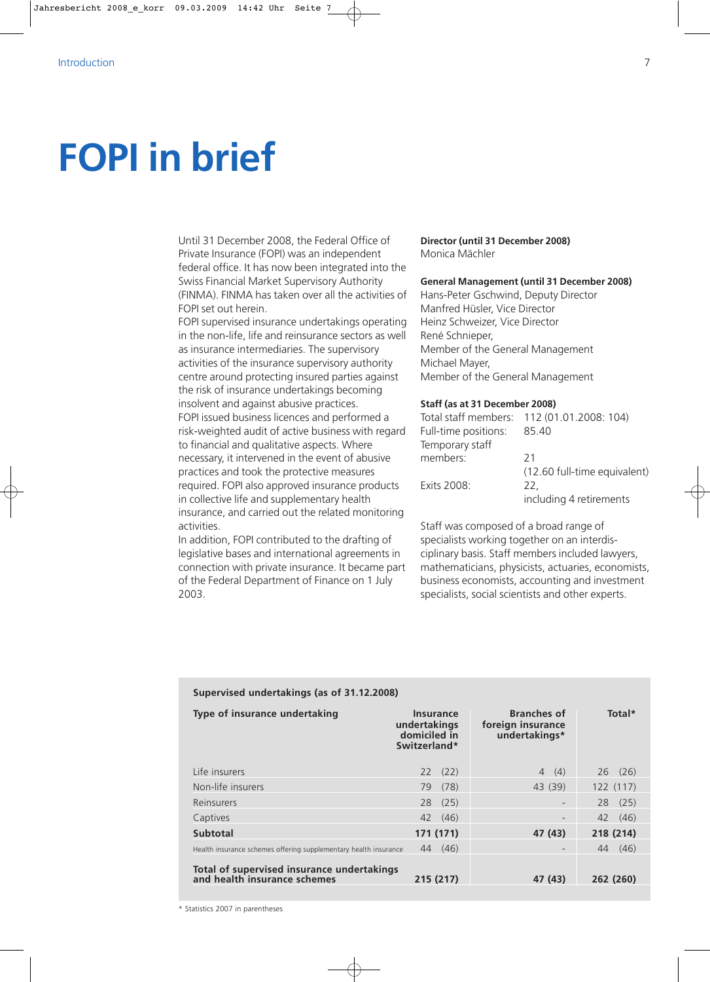# **FOPI in brief**

Until 31 December 2008, the Federal Office of Private Insurance (FOPI) was an independent federal office. It has now been integrated into the Swiss Financial Market Supervisory Authority (FINMA). FINMA has taken over all the activities of FOPI set out herein.

FOPI supervised insurance undertakings operating in the non-life, life and reinsurance sectors as well as insurance intermediaries. The supervisory activities of the insurance supervisory authority centre around protecting insured parties against the risk of insurance undertakings becoming insolvent and against abusive practices. FOPI issued business licences and performed a risk-weighted audit of active business with regard to financial and qualitative aspects. Where necessary, it intervened in the event of abusive practices and took the protective measures required. FOPI also approved insurance products in collective life and supplementary health insurance, and carried out the related monitoring activities.

In addition, FOPI contributed to the drafting of legislative bases and international agreements in connection with private insurance. It became part of the Federal Department of Finance on 1 July 2003.

**Supervised undertakings (as of 31.12.2008)** 

**Director (until 31 December 2008)** Monica Mächler

## **General Management (until 31 December 2008)**

Hans-Peter Gschwind, Deputy Director Manfred Hüsler, Vice Director Heinz Schweizer, Vice Director René Schnieper, Member of the General Management Michael Mayer, Member of the General Management

### **Staff (as at 31 December 2008)**

|                      | Total staff members: 112 (01.01.2008: 104) |
|----------------------|--------------------------------------------|
| Full-time positions: | 85.40                                      |
| Temporary staff      |                                            |
| members:             | 21                                         |
|                      | (12.60 full-time equivalent)               |
| Exits 2008:          | 22.                                        |
|                      | including 4 retirements                    |
|                      |                                            |

Staff was composed of a broad range of specialists working together on an interdisciplinary basis. Staff members included lawyers, mathematicians, physicists, actuaries, economists, business economists, accounting and investment specialists, social scientists and other experts.

| Type of insurance undertaking                                              | Insurance<br>undertakings<br>domiciled in<br>Switzerland* |      | <b>Branches of</b><br>foreign insurance<br>undertakings* |             | Total* |
|----------------------------------------------------------------------------|-----------------------------------------------------------|------|----------------------------------------------------------|-------------|--------|
| Life insurers                                                              | 22(22)                                                    |      | (4)<br>$\overline{4}$                                    | $26$ $(26)$ |        |
| Non-life insurers                                                          | 79                                                        | (78) | 43 (39)                                                  | 122 (117)   |        |
| Reinsurers                                                                 | 28(25)                                                    |      |                                                          | 28(25)      |        |
| Captives                                                                   | 42 (46)                                                   |      | $\overline{\phantom{0}}$                                 | 42          | (46)   |
| <b>Subtotal</b>                                                            | 171 (171)                                                 |      | 47 (43)                                                  | 218 (214)   |        |
| Health insurance schemes offering supplementary health insurance           | 44                                                        | (46) |                                                          | 44          | (46)   |
| Total of supervised insurance undertakings<br>and health insurance schemes | 215 (217)                                                 |      | 47 (43)                                                  | 262 (260)   |        |

\* Statistics 2007 in parentheses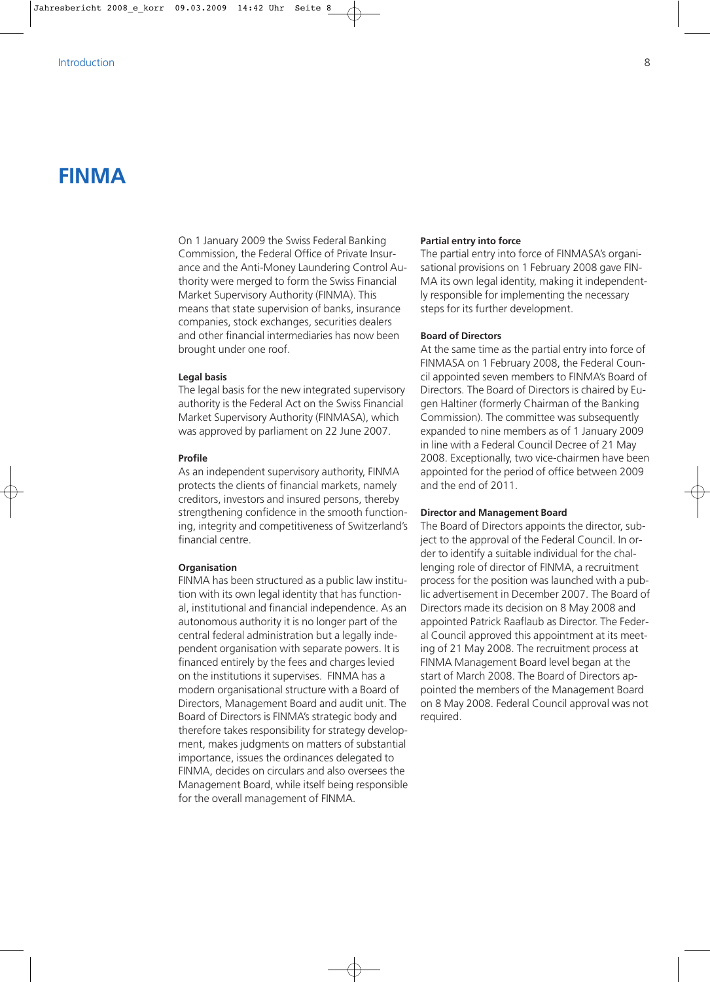# **FINMA**

On 1 January 2009 the Swiss Federal Banking Commission, the Federal Office of Private Insurance and the Anti-Money Laundering Control Authority were merged to form the Swiss Financial Market Supervisory Authority (FINMA). This means that state supervision of banks, insurance companies, stock exchanges, securities dealers and other financial intermediaries has now been brought under one roof.

### **Legal basis**

The legal basis for the new integrated supervisory authority is the Federal Act on the Swiss Financial Market Supervisory Authority (FINMASA), which was approved by parliament on 22 June 2007.

#### **Profile**

As an independent supervisory authority, FINMA protects the clients of financial markets, namely creditors, investors and insured persons, thereby strengthening confidence in the smooth functioning, integrity and competitiveness of Switzerland's financial centre.

### **Organisation**

FINMA has been structured as a public law institution with its own legal identity that has functional, institutional and financial independence. As an autonomous authority it is no longer part of the central federal administration but a legally independent organisation with separate powers. It is financed entirely by the fees and charges levied on the institutions it supervises. FINMA has a modern organisational structure with a Board of Directors, Management Board and audit unit. The Board of Directors is FINMA's strategic body and therefore takes responsibility for strategy development, makes judgments on matters of substantial importance, issues the ordinances delegated to FINMA, decides on circulars and also oversees the Management Board, while itself being responsible for the overall management of FINMA.

### **Partial entry into force**

The partial entry into force of FINMASA's organisational provisions on 1 February 2008 gave FIN-MA its own legal identity, making it independently responsible for implementing the necessary steps for its further development.

## **Board of Directors**

At the same time as the partial entry into force of FINMASA on 1 February 2008, the Federal Council appointed seven members to FINMA's Board of Directors. The Board of Directors is chaired by Eugen Haltiner (formerly Chairman of the Banking Commission). The committee was subsequently expanded to nine members as of 1 January 2009 in line with a Federal Council Decree of 21 May 2008. Exceptionally, two vice-chairmen have been appointed for the period of office between 2009 and the end of 2011.

### **Director and Management Board**

The Board of Directors appoints the director, subject to the approval of the Federal Council. In order to identify a suitable individual for the challenging role of director of FINMA, a recruitment process for the position was launched with a public advertisement in December 2007. The Board of Directors made its decision on 8 May 2008 and appointed Patrick Raaflaub as Director. The Federal Council approved this appointment at its meeting of 21 May 2008. The recruitment process at FINMA Management Board level began at the start of March 2008. The Board of Directors appointed the members of the Management Board on 8 May 2008. Federal Council approval was not required.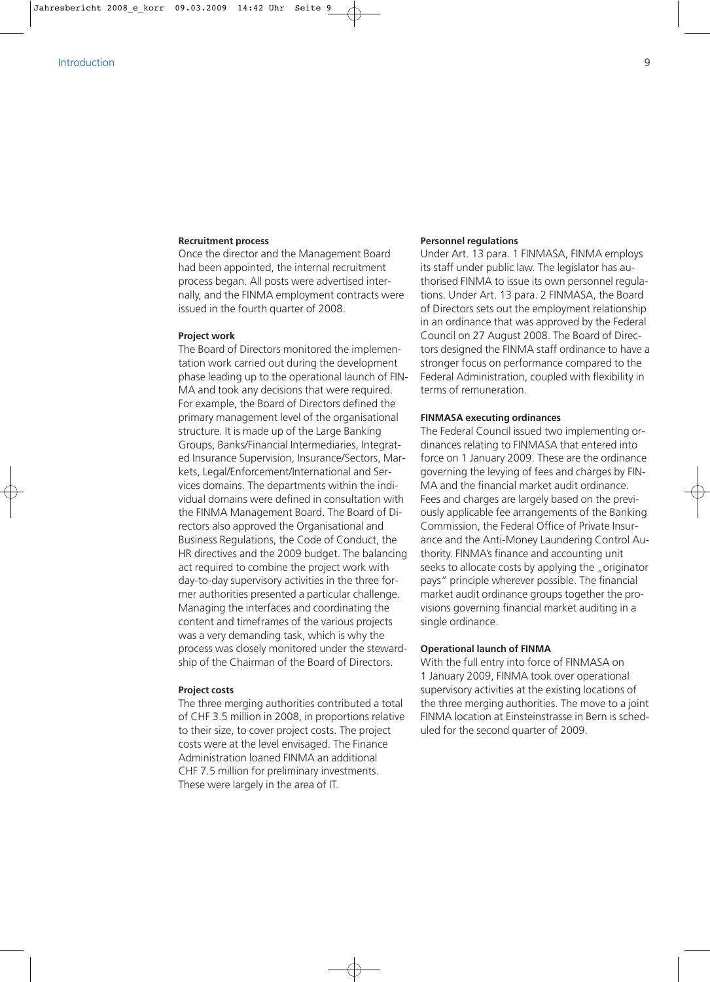### **Recruitment process**

Once the director and the Management Board had been appointed, the internal recruitment process began. All posts were advertised internally, and the FINMA employment contracts were issued in the fourth quarter of 2008.

### **Project work**

The Board of Directors monitored the implementation work carried out during the development phase leading up to the operational launch of FIN-MA and took any decisions that were required. For example, the Board of Directors defined the primary management level of the organisational structure. It is made up of the Large Banking Groups, Banks/Financial Intermediaries, Integrated Insurance Supervision, Insurance/Sectors, Markets, Legal/Enforcement/International and Services domains. The departments within the individual domains were defined in consultation with the FINMA Management Board. The Board of Directors also approved the Organisational and Business Regulations, the Code of Conduct, the HR directives and the 2009 budget. The balancing act required to combine the project work with day-to-day supervisory activities in the three former authorities presented a particular challenge. Managing the interfaces and coordinating the content and timeframes of the various projects was a very demanding task, which is why the process was closely monitored under the stewardship of the Chairman of the Board of Directors.

### **Project costs**

The three merging authorities contributed a total of CHF 3.5 million in 2008, in proportions relative to their size, to cover project costs. The project costs were at the level envisaged. The Finance Administration loaned FINMA an additional CHF 7.5 million for preliminary investments. These were largely in the area of IT.

#### **Personnel regulations**

Under Art. 13 para. 1 FINMASA, FINMA employs its staff under public law. The legislator has authorised FINMA to issue its own personnel regulations. Under Art. 13 para. 2 FINMASA, the Board of Directors sets out the employment relationship in an ordinance that was approved by the Federal Council on 27 August 2008. The Board of Directors designed the FINMA staff ordinance to have a stronger focus on performance compared to the Federal Administration, coupled with flexibility in terms of remuneration.

## **FINMASA executing ordinances**

The Federal Council issued two implementing ordinances relating to FINMASA that entered into force on 1 January 2009. These are the ordinance governing the levying of fees and charges by FIN-MA and the financial market audit ordinance. Fees and charges are largely based on the previously applicable fee arrangements of the Banking Commission, the Federal Office of Private Insurance and the Anti-Money Laundering Control Authority. FINMA's finance and accounting unit seeks to allocate costs by applying the "originator pays" principle wherever possible. The financial market audit ordinance groups together the provisions governing financial market auditing in a single ordinance.

### **Operational launch of FINMA**

With the full entry into force of FINMASA on 1 January 2009, FINMA took over operational supervisory activities at the existing locations of the three merging authorities. The move to a joint FINMA location at Einsteinstrasse in Bern is scheduled for the second quarter of 2009.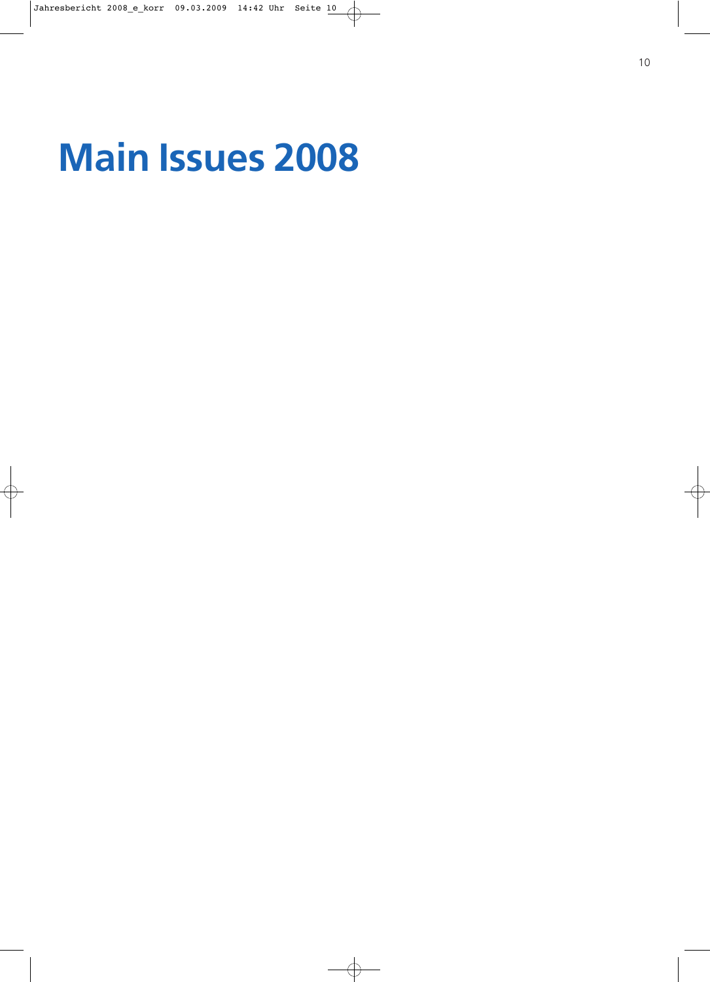# **Main Issues 2008**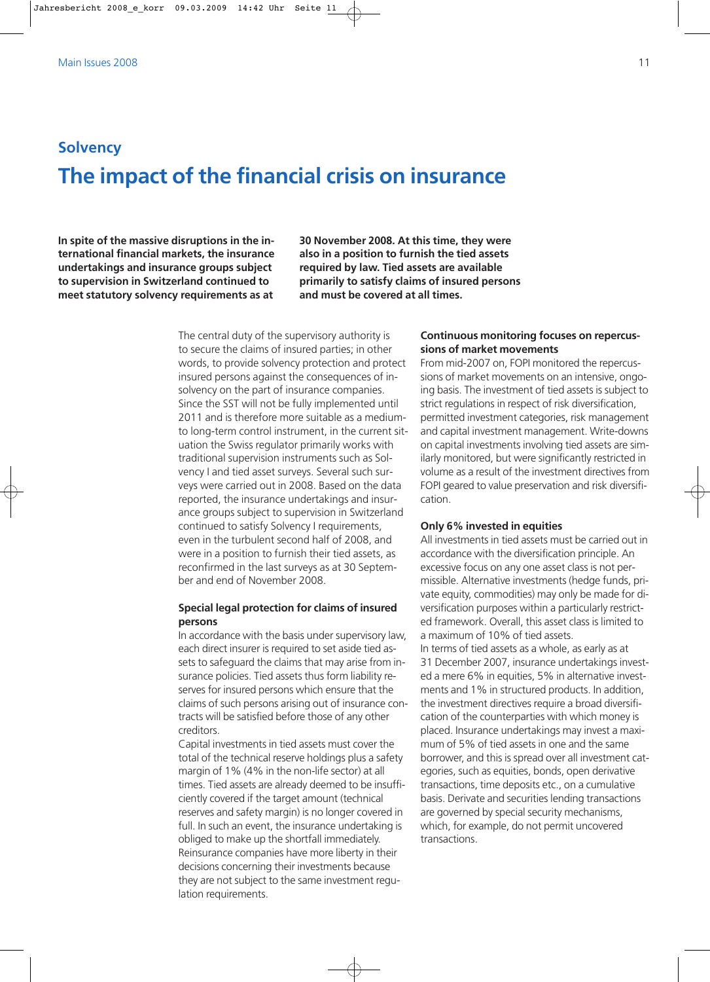# **Solvency The impact of the financial crisis on insurance**

**In spite of the massive disruptions in the international financial markets, the insurance undertakings and insurance groups subject to supervision in Switzerland continued to meet statutory solvency requirements as at** **30 November 2008. At this time, they were also in a position to furnish the tied assets required by law. Tied assets are available primarily to satisfy claims of insured persons and must be covered at all times.**

The central duty of the supervisory authority is to secure the claims of insured parties; in other words, to provide solvency protection and protect insured persons against the consequences of insolvency on the part of insurance companies. Since the SST will not be fully implemented until 2011 and is therefore more suitable as a mediumto long-term control instrument, in the current situation the Swiss regulator primarily works with traditional supervision instruments such as Solvency I and tied asset surveys. Several such surveys were carried out in 2008. Based on the data reported, the insurance undertakings and insurance groups subject to supervision in Switzerland continued to satisfy Solvency I requirements, even in the turbulent second half of 2008, and were in a position to furnish their tied assets, as reconfirmed in the last surveys as at 30 September and end of November 2008.

# **Special legal protection for claims of insured persons**

In accordance with the basis under supervisory law, each direct insurer is required to set aside tied assets to safeguard the claims that may arise from insurance policies. Tied assets thus form liability reserves for insured persons which ensure that the claims of such persons arising out of insurance contracts will be satisfied before those of any other creditors.

Capital investments in tied assets must cover the total of the technical reserve holdings plus a safety margin of 1% (4% in the non-life sector) at all times. Tied assets are already deemed to be insufficiently covered if the target amount (technical reserves and safety margin) is no longer covered in full. In such an event, the insurance undertaking is obliged to make up the shortfall immediately. Reinsurance companies have more liberty in their decisions concerning their investments because they are not subject to the same investment regulation requirements.

# **Continuous monitoring focuses on repercussions of market movements**

From mid-2007 on, FOPI monitored the repercussions of market movements on an intensive, ongoing basis. The investment of tied assets is subject to strict regulations in respect of risk diversification, permitted investment categories, risk management and capital investment management. Write-downs on capital investments involving tied assets are similarly monitored, but were significantly restricted in volume as a result of the investment directives from FOPI geared to value preservation and risk diversification.

### **Only 6% invested in equities**

All investments in tied assets must be carried out in accordance with the diversification principle. An excessive focus on any one asset class is not permissible. Alternative investments (hedge funds, private equity, commodities) may only be made for diversification purposes within a particularly restricted framework. Overall, this asset class is limited to a maximum of 10% of tied assets.

In terms of tied assets as a whole, as early as at 31 December 2007, insurance undertakings invested a mere 6% in equities, 5% in alternative investments and 1% in structured products. In addition, the investment directives require a broad diversification of the counterparties with which money is placed. Insurance undertakings may invest a maximum of 5% of tied assets in one and the same borrower, and this is spread over all investment categories, such as equities, bonds, open derivative transactions, time deposits etc., on a cumulative basis. Derivate and securities lending transactions are governed by special security mechanisms, which, for example, do not permit uncovered transactions.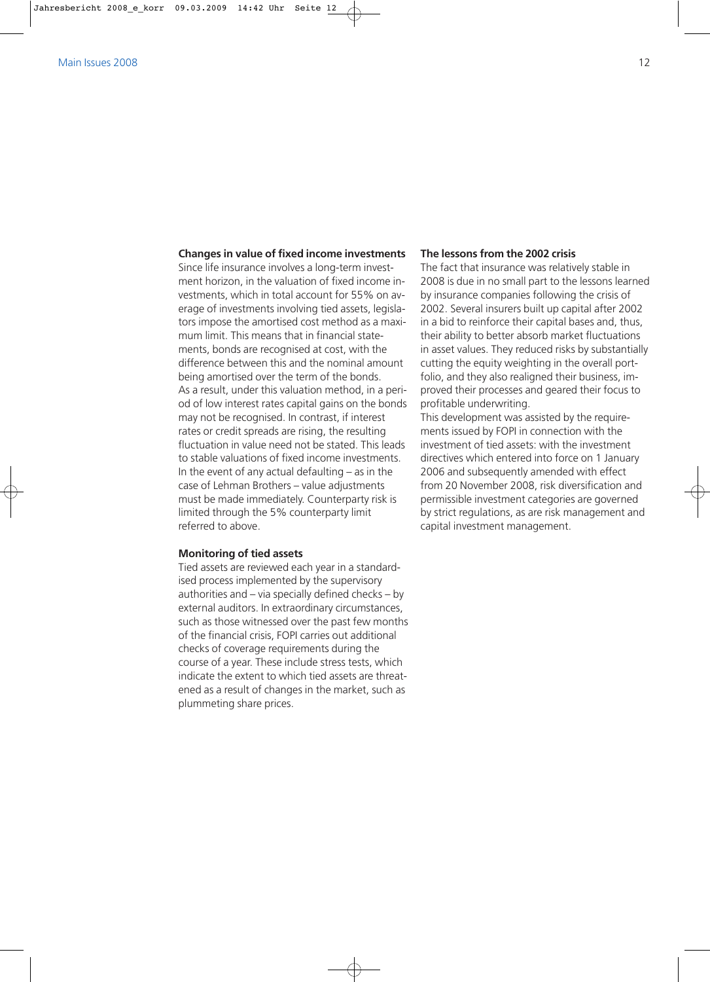### **Changes in value of fixed income investments**

Since life insurance involves a long-term investment horizon, in the valuation of fixed income investments, which in total account for 55% on average of investments involving tied assets, legislators impose the amortised cost method as a maximum limit. This means that in financial statements, bonds are recognised at cost, with the difference between this and the nominal amount being amortised over the term of the bonds. As a result, under this valuation method, in a period of low interest rates capital gains on the bonds may not be recognised. In contrast, if interest rates or credit spreads are rising, the resulting fluctuation in value need not be stated. This leads to stable valuations of fixed income investments. In the event of any actual defaulting  $-$  as in the case of Lehman Brothers – value adjustments must be made immediately. Counterparty risk is limited through the 5% counterparty limit referred to above.

### **Monitoring of tied assets**

Tied assets are reviewed each year in a standardised process implemented by the supervisory authorities and – via specially defined checks – by external auditors. In extraordinary circumstances, such as those witnessed over the past few months of the financial crisis, FOPI carries out additional checks of coverage requirements during the course of a year. These include stress tests, which indicate the extent to which tied assets are threatened as a result of changes in the market, such as plummeting share prices.

### **The lessons from the 2002 crisis**

The fact that insurance was relatively stable in 2008 is due in no small part to the lessons learned by insurance companies following the crisis of 2002. Several insurers built up capital after 2002 in a bid to reinforce their capital bases and, thus, their ability to better absorb market fluctuations in asset values. They reduced risks by substantially cutting the equity weighting in the overall portfolio, and they also realigned their business, improved their processes and geared their focus to profitable underwriting.

This development was assisted by the requirements issued by FOPI in connection with the investment of tied assets: with the investment directives which entered into force on 1 January 2006 and subsequently amended with effect from 20 November 2008, risk diversification and permissible investment categories are governed by strict regulations, as are risk management and capital investment management.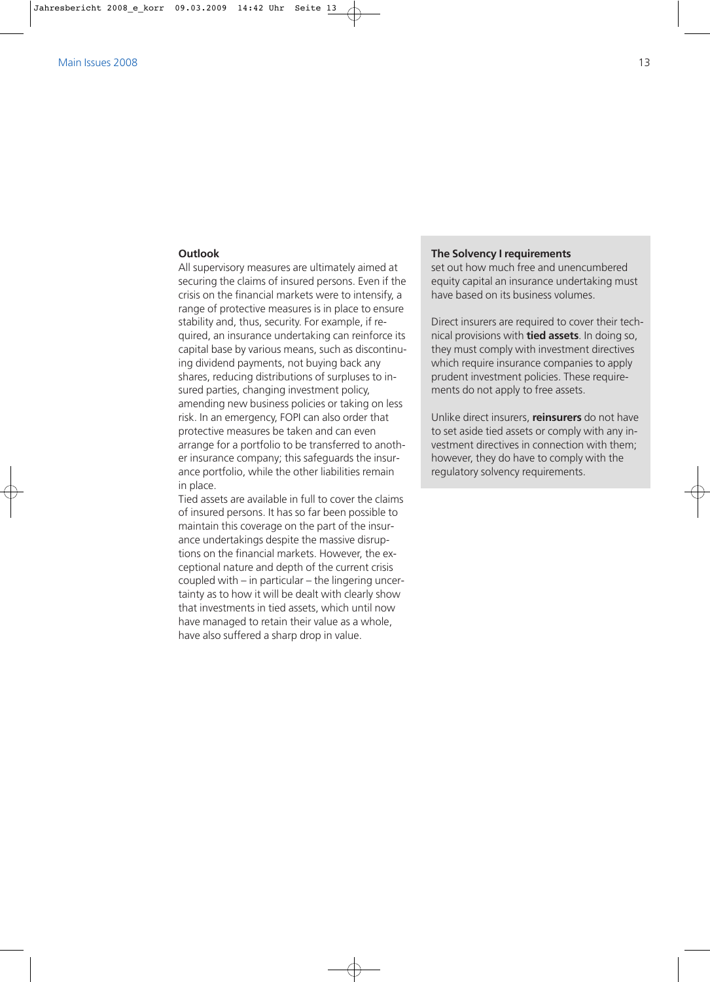### **Outlook**

All supervisory measures are ultimately aimed at securing the claims of insured persons. Even if the crisis on the financial markets were to intensify, a range of protective measures is in place to ensure stability and, thus, security. For example, if required, an insurance undertaking can reinforce its capital base by various means, such as discontinuing dividend payments, not buying back any shares, reducing distributions of surpluses to insured parties, changing investment policy, amending new business policies or taking on less risk. In an emergency, FOPI can also order that protective measures be taken and can even arrange for a portfolio to be transferred to another insurance company; this safeguards the insurance portfolio, while the other liabilities remain in place.

Tied assets are available in full to cover the claims of insured persons. It has so far been possible to maintain this coverage on the part of the insurance undertakings despite the massive disruptions on the financial markets. However, the exceptional nature and depth of the current crisis coupled with – in particular – the lingering uncertainty as to how it will be dealt with clearly show that investments in tied assets, which until now have managed to retain their value as a whole, have also suffered a sharp drop in value.

### **The Solvency I requirements**

set out how much free and unencumbered equity capital an insurance undertaking must have based on its business volumes.

Direct insurers are required to cover their technical provisions with **tied assets**. In doing so, they must comply with investment directives which require insurance companies to apply prudent investment policies. These requirements do not apply to free assets.

Unlike direct insurers, **reinsurers** do not have to set aside tied assets or comply with any investment directives in connection with them; however, they do have to comply with the regulatory solvency requirements.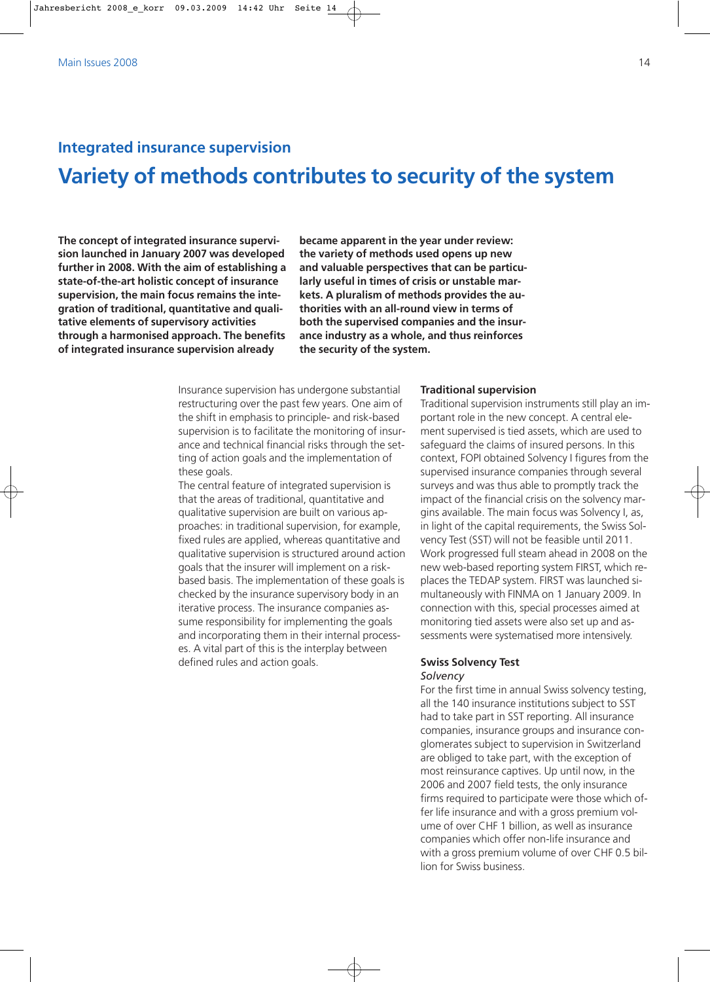# **Integrated insurance supervision Variety of methods contributes to security of the system**

**The concept of integrated insurance supervision launched in January 2007 was developed further in 2008. With the aim of establishing a state-of-the-art holistic concept of insurance supervision, the main focus remains the integration of traditional, quantitative and qualitative elements of supervisory activities through a harmonised approach. The benefits of integrated insurance supervision already**

**became apparent in the year under review: the variety of methods used opens up new and valuable perspectives that can be particularly useful in times of crisis or unstable markets. A pluralism of methods provides the authorities with an all-round view in terms of both the supervised companies and the insurance industry as a whole, and thus reinforces the security of the system.**

Insurance supervision has undergone substantial restructuring over the past few years. One aim of the shift in emphasis to principle- and risk-based supervision is to facilitate the monitoring of insurance and technical financial risks through the setting of action goals and the implementation of these goals.

The central feature of integrated supervision is that the areas of traditional, quantitative and qualitative supervision are built on various approaches: in traditional supervision, for example, fixed rules are applied, whereas quantitative and qualitative supervision is structured around action goals that the insurer will implement on a riskbased basis. The implementation of these goals is checked by the insurance supervisory body in an iterative process. The insurance companies assume responsibility for implementing the goals and incorporating them in their internal processes. A vital part of this is the interplay between defined rules and action goals.

### **Traditional supervision**

Traditional supervision instruments still play an important role in the new concept. A central element supervised is tied assets, which are used to safeguard the claims of insured persons. In this context, FOPI obtained Solvency I figures from the supervised insurance companies through several surveys and was thus able to promptly track the impact of the financial crisis on the solvency margins available. The main focus was Solvency I, as, in light of the capital requirements, the Swiss Solvency Test (SST) will not be feasible until 2011. Work progressed full steam ahead in 2008 on the new web-based reporting system FIRST, which replaces the TEDAP system. FIRST was launched simultaneously with FINMA on 1 January 2009. In connection with this, special processes aimed at monitoring tied assets were also set up and assessments were systematised more intensively.

### **Swiss Solvency Test** *Solvency*

For the first time in annual Swiss solvency testing, all the 140 insurance institutions subject to SST had to take part in SST reporting. All insurance companies, insurance groups and insurance conglomerates subject to supervision in Switzerland are obliged to take part, with the exception of most reinsurance captives. Up until now, in the 2006 and 2007 field tests, the only insurance firms required to participate were those which offer life insurance and with a gross premium volume of over CHF 1 billion, as well as insurance companies which offer non-life insurance and with a gross premium volume of over CHF 0.5 billion for Swiss business.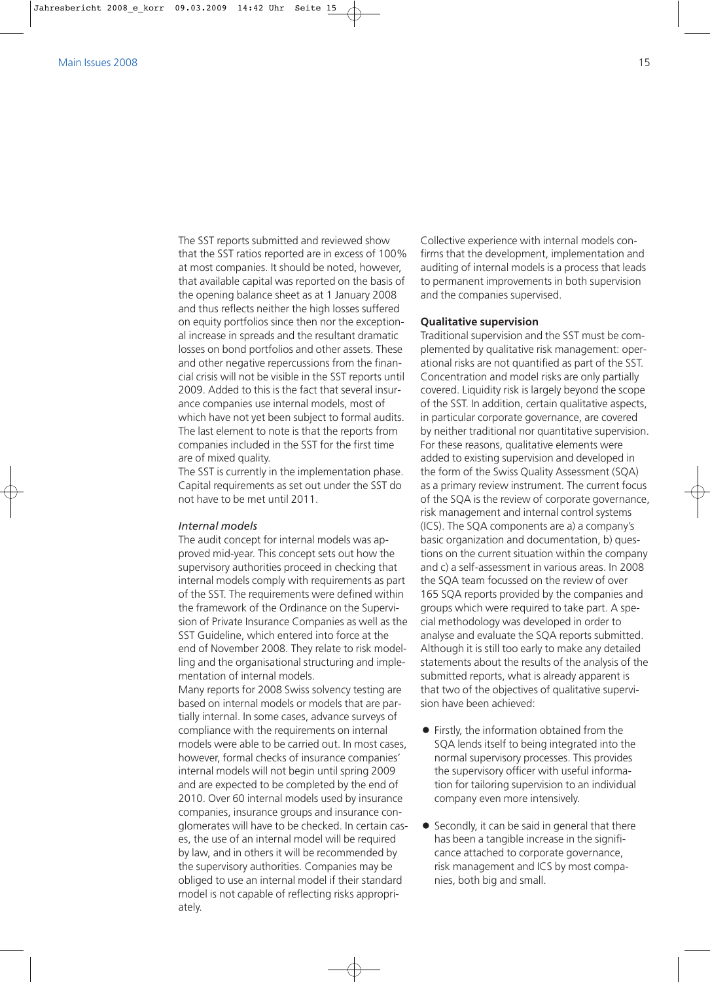The SST reports submitted and reviewed show that the SST ratios reported are in excess of 100% at most companies. It should be noted, however, that available capital was reported on the basis of the opening balance sheet as at 1 January 2008 and thus reflects neither the high losses suffered on equity portfolios since then nor the exceptional increase in spreads and the resultant dramatic losses on bond portfolios and other assets. These and other negative repercussions from the financial crisis will not be visible in the SST reports until 2009. Added to this is the fact that several insurance companies use internal models, most of which have not yet been subject to formal audits. The last element to note is that the reports from companies included in the SST for the first time are of mixed quality.

The SST is currently in the implementation phase. Capital requirements as set out under the SST do not have to be met until 2011.

## *Internal models*

The audit concept for internal models was approved mid-year. This concept sets out how the supervisory authorities proceed in checking that internal models comply with requirements as part of the SST. The requirements were defined within the framework of the Ordinance on the Supervision of Private Insurance Companies as well as the SST Guideline, which entered into force at the end of November 2008. They relate to risk modelling and the organisational structuring and implementation of internal models.

Many reports for 2008 Swiss solvency testing are based on internal models or models that are partially internal. In some cases, advance surveys of compliance with the requirements on internal models were able to be carried out. In most cases, however, formal checks of insurance companies' internal models will not begin until spring 2009 and are expected to be completed by the end of 2010. Over 60 internal models used by insurance companies, insurance groups and insurance conglomerates will have to be checked. In certain cases, the use of an internal model will be required by law, and in others it will be recommended by the supervisory authorities. Companies may be obliged to use an internal model if their standard model is not capable of reflecting risks appropriately.

Collective experience with internal models confirms that the development, implementation and auditing of internal models is a process that leads to permanent improvements in both supervision and the companies supervised.

### **Qualitative supervision**

Traditional supervision and the SST must be complemented by qualitative risk management: operational risks are not quantified as part of the SST. Concentration and model risks are only partially covered. Liquidity risk is largely beyond the scope of the SST. In addition, certain qualitative aspects, in particular corporate governance, are covered by neither traditional nor quantitative supervision. For these reasons, qualitative elements were added to existing supervision and developed in the form of the Swiss Quality Assessment (SQA) as a primary review instrument. The current focus of the SQA is the review of corporate governance, risk management and internal control systems (ICS). The SQA components are a) a company's basic organization and documentation, b) questions on the current situation within the company and c) a self-assessment in various areas. In 2008 the SQA team focussed on the review of over 165 SQA reports provided by the companies and groups which were required to take part. A special methodology was developed in order to analyse and evaluate the SQA reports submitted. Although it is still too early to make any detailed statements about the results of the analysis of the submitted reports, what is already apparent is that two of the objectives of qualitative supervision have been achieved:

- $\bullet$  Firstly, the information obtained from the SQA lends itself to being integrated into the normal supervisory processes. This provides the supervisory officer with useful information for tailoring supervision to an individual company even more intensively.
- $\bullet$  Secondly, it can be said in general that there has been a tangible increase in the significance attached to corporate governance, risk management and ICS by most companies, both big and small.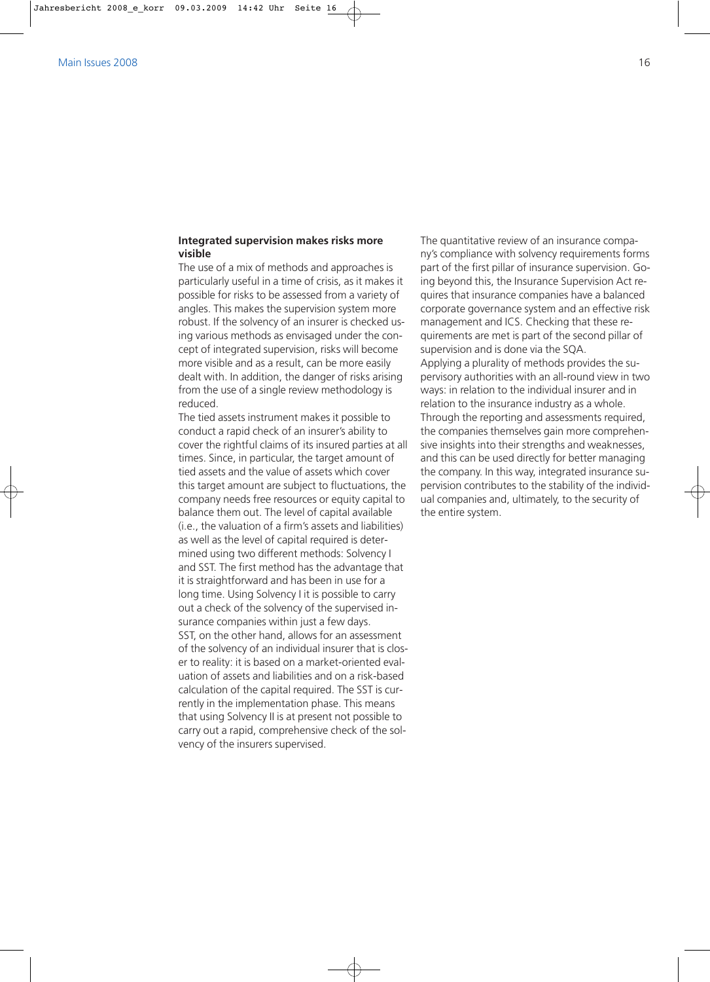## **Integrated supervision makes risks more visible**

The use of a mix of methods and approaches is particularly useful in a time of crisis, as it makes it possible for risks to be assessed from a variety of angles. This makes the supervision system more robust. If the solvency of an insurer is checked using various methods as envisaged under the concept of integrated supervision, risks will become more visible and as a result, can be more easily dealt with. In addition, the danger of risks arising from the use of a single review methodology is reduced.

The tied assets instrument makes it possible to conduct a rapid check of an insurer's ability to cover the rightful claims of its insured parties at all times. Since, in particular, the target amount of tied assets and the value of assets which cover this target amount are subject to fluctuations, the company needs free resources or equity capital to balance them out. The level of capital available (i.e., the valuation of a firm's assets and liabilities) as well as the level of capital required is determined using two different methods: Solvency I and SST. The first method has the advantage that it is straightforward and has been in use for a long time. Using Solvency I it is possible to carry out a check of the solvency of the supervised insurance companies within just a few days. SST, on the other hand, allows for an assessment of the solvency of an individual insurer that is closer to reality: it is based on a market-oriented evaluation of assets and liabilities and on a risk-based calculation of the capital required. The SST is currently in the implementation phase. This means that using Solvency II is at present not possible to carry out a rapid, comprehensive check of the solvency of the insurers supervised.

The quantitative review of an insurance company's compliance with solvency requirements forms part of the first pillar of insurance supervision. Going beyond this, the Insurance Supervision Act requires that insurance companies have a balanced corporate governance system and an effective risk management and ICS. Checking that these requirements are met is part of the second pillar of supervision and is done via the SQA. Applying a plurality of methods provides the supervisory authorities with an all-round view in two ways: in relation to the individual insurer and in relation to the insurance industry as a whole. Through the reporting and assessments required, the companies themselves gain more comprehensive insights into their strengths and weaknesses, and this can be used directly for better managing the company. In this way, integrated insurance supervision contributes to the stability of the individual companies and, ultimately, to the security of the entire system.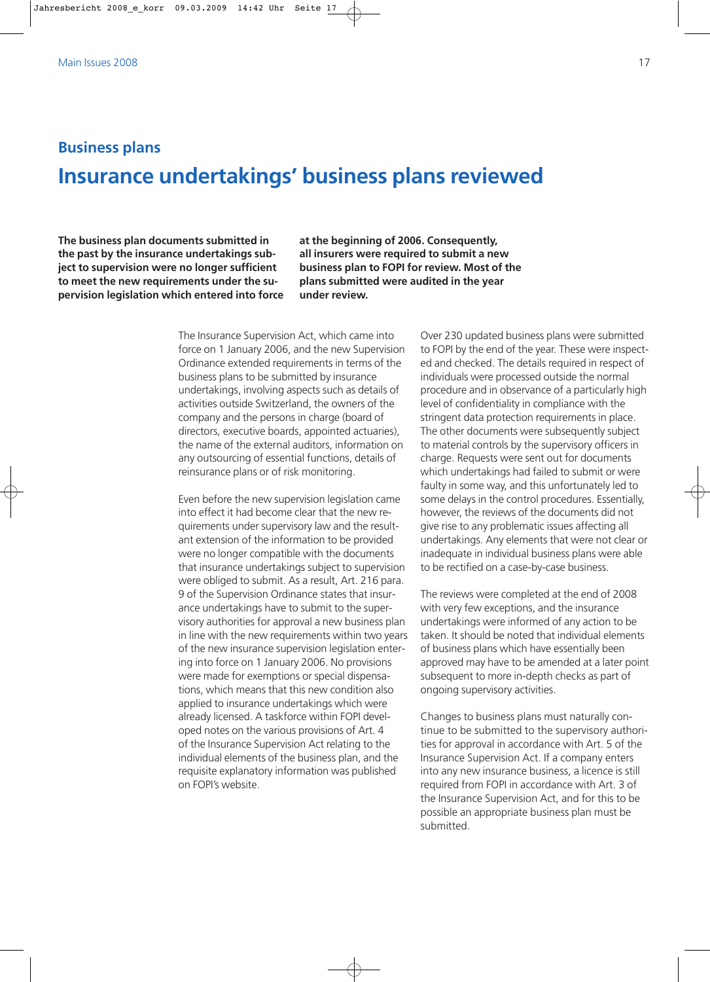# **Business plans Insurance undertakings' business plans reviewed**

**The business plan documents submitted in the past by the insurance undertakings subject to supervision were no longer sufficient to meet the new requirements under the supervision legislation which entered into force** **at the beginning of 2006. Consequently, all insurers were required to submit a new business plan to FOPI for review. Most of the plans submitted were audited in the year under review.**

The Insurance Supervision Act, which came into force on 1 January 2006, and the new Supervision Ordinance extended requirements in terms of the business plans to be submitted by insurance undertakings, involving aspects such as details of activities outside Switzerland, the owners of the company and the persons in charge (board of directors, executive boards, appointed actuaries), the name of the external auditors, information on any outsourcing of essential functions, details of reinsurance plans or of risk monitoring.

Even before the new supervision legislation came into effect it had become clear that the new requirements under supervisory law and the resultant extension of the information to be provided were no longer compatible with the documents that insurance undertakings subject to supervision were obliged to submit. As a result, Art. 216 para. 9 of the Supervision Ordinance states that insurance undertakings have to submit to the supervisory authorities for approval a new business plan in line with the new requirements within two years of the new insurance supervision legislation entering into force on 1 January 2006. No provisions were made for exemptions or special dispensations, which means that this new condition also applied to insurance undertakings which were already licensed. A taskforce within FOPI developed notes on the various provisions of Art. 4 of the Insurance Supervision Act relating to the individual elements of the business plan, and the requisite explanatory information was published on FOPI's website.

Over 230 updated business plans were submitted to FOPI by the end of the year. These were inspected and checked. The details required in respect of individuals were processed outside the normal procedure and in observance of a particularly high level of confidentiality in compliance with the stringent data protection requirements in place. The other documents were subsequently subject to material controls by the supervisory officers in charge. Requests were sent out for documents which undertakings had failed to submit or were faulty in some way, and this unfortunately led to some delays in the control procedures. Essentially, however, the reviews of the documents did not give rise to any problematic issues affecting all undertakings. Any elements that were not clear or inadequate in individual business plans were able to be rectified on a case-by-case business.

The reviews were completed at the end of 2008 with very few exceptions, and the insurance undertakings were informed of any action to be taken. It should be noted that individual elements of business plans which have essentially been approved may have to be amended at a later point subsequent to more in-depth checks as part of ongoing supervisory activities.

Changes to business plans must naturally continue to be submitted to the supervisory authorities for approval in accordance with Art. 5 of the Insurance Supervision Act. If a company enters into any new insurance business, a licence is still required from FOPI in accordance with Art. 3 of the Insurance Supervision Act, and for this to be possible an appropriate business plan must be submitted.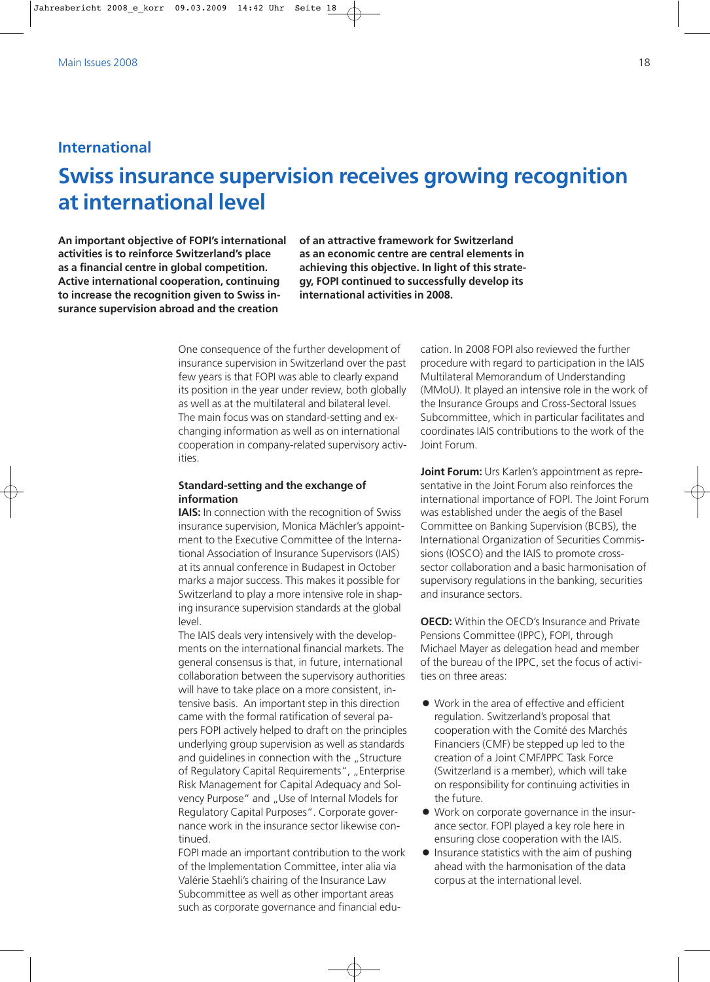# **International**

# **Swiss insurance supervision receives growing recognition at international level**

**An important objective of FOPI's international activities is to reinforce Switzerland's place as a financial centre in global competition. Active international cooperation, continuing to increase the recognition given to Swiss insurance supervision abroad and the creation**

**of an attractive framework for Switzerland as an economic centre are central elements in achieving this objective. In light of this strategy, FOPI continued to successfully develop its international activities in 2008.**

One consequence of the further development of insurance supervision in Switzerland over the past few years is that FOPI was able to clearly expand its position in the year under review, both globally as well as at the multilateral and bilateral level. The main focus was on standard-setting and exchanging information as well as on international cooperation in company-related supervisory activities.

# **Standard-setting and the exchange of information**

**IAIS:** In connection with the recognition of Swiss insurance supervision, Monica Mächler's appointment to the Executive Committee of the International Association of Insurance Supervisors (IAIS) at its annual conference in Budapest in October marks a major success. This makes it possible for Switzerland to play a more intensive role in shaping insurance supervision standards at the global level.

The IAIS deals very intensively with the developments on the international financial markets. The general consensus is that, in future, international collaboration between the supervisory authorities will have to take place on a more consistent, intensive basis. An important step in this direction came with the formal ratification of several papers FOPI actively helped to draft on the principles underlying group supervision as well as standards and guidelines in connection with the "Structure of Regulatory Capital Requirements", "Enterprise Risk Management for Capital Adequacy and Solvency Purpose" and "Use of Internal Models for Regulatory Capital Purposes". Corporate governance work in the insurance sector likewise continued.

FOPI made an important contribution to the work of the Implementation Committee, inter alia via Valérie Staehli's chairing of the Insurance Law Subcommittee as well as other important areas such as corporate governance and financial edu-

cation. In 2008 FOPI also reviewed the further procedure with regard to participation in the IAIS Multilateral Memorandum of Understanding (MMoU). It played an intensive role in the work of the Insurance Groups and Cross-Sectoral Issues Subcommittee, which in particular facilitates and coordinates IAIS contributions to the work of the Joint Forum.

**Joint Forum:** Urs Karlen's appointment as representative in the Joint Forum also reinforces the international importance of FOPI. The Joint Forum was established under the aegis of the Basel Committee on Banking Supervision (BCBS), the International Organization of Securities Commissions (IOSCO) and the IAIS to promote crosssector collaboration and a basic harmonisation of supervisory regulations in the banking, securities and insurance sectors.

**OECD:** Within the OECD's Insurance and Private Pensions Committee (IPPC), FOPI, through Michael Mayer as delegation head and member of the bureau of the IPPC, set the focus of activities on three areas:

- $\bullet$  Work in the area of effective and efficient regulation. Switzerland's proposal that cooperation with the Comité des Marchés Financiers (CMF) be stepped up led to the creation of a Joint CMF/IPPC Task Force (Switzerland is a member), which will take on responsibility for continuing activities in the future.
- Work on corporate governance in the insurance sector. FOPI played a key role here in ensuring close cooperation with the IAIS.
- Insurance statistics with the aim of pushing ahead with the harmonisation of the data corpus at the international level.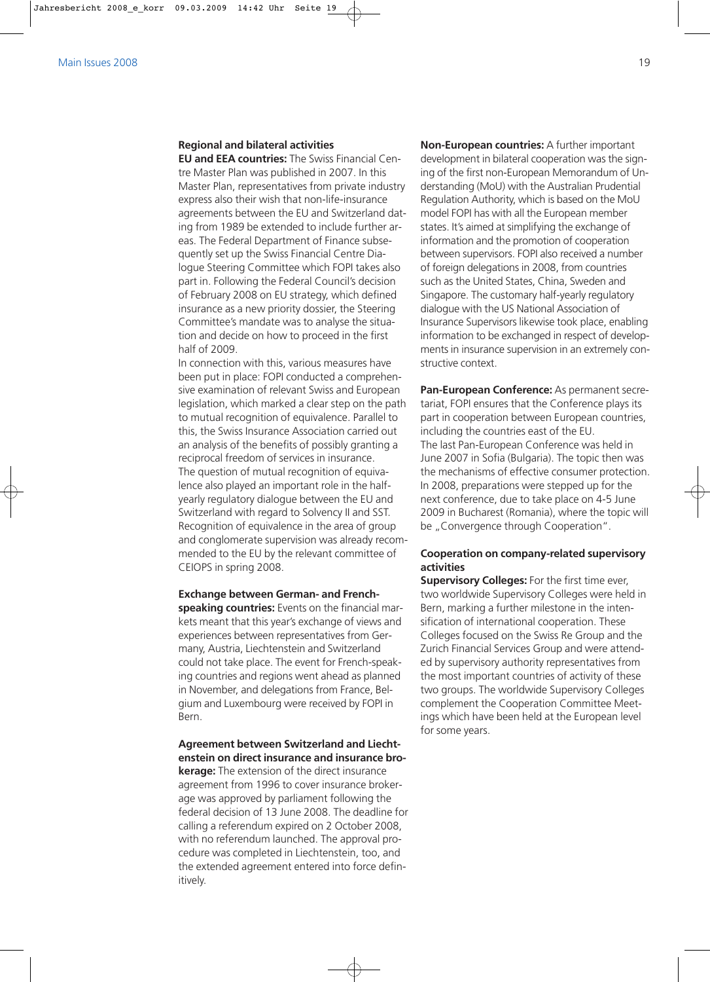### **Regional and bilateral activities**

**EU and EEA countries:** The Swiss Financial Centre Master Plan was published in 2007. In this Master Plan, representatives from private industry express also their wish that non-life-insurance agreements between the EU and Switzerland dating from 1989 be extended to include further areas. The Federal Department of Finance subsequently set up the Swiss Financial Centre Dialogue Steering Committee which FOPI takes also part in. Following the Federal Council's decision of February 2008 on EU strategy, which defined insurance as a new priority dossier, the Steering Committee's mandate was to analyse the situation and decide on how to proceed in the first half of 2009.

In connection with this, various measures have been put in place: FOPI conducted a comprehensive examination of relevant Swiss and European legislation, which marked a clear step on the path to mutual recognition of equivalence. Parallel to this, the Swiss Insurance Association carried out an analysis of the benefits of possibly granting a reciprocal freedom of services in insurance. The question of mutual recognition of equivalence also played an important role in the halfyearly regulatory dialogue between the EU and Switzerland with regard to Solvency II and SST. Recognition of equivalence in the area of group and conglomerate supervision was already recommended to the EU by the relevant committee of CEIOPS in spring 2008.

**Exchange between German- and Frenchspeaking countries:** Events on the financial markets meant that this year's exchange of views and experiences between representatives from Germany, Austria, Liechtenstein and Switzerland could not take place. The event for French-speaking countries and regions went ahead as planned in November, and delegations from France, Belgium and Luxembourg were received by FOPI in Bern.

# **Agreement between Switzerland and Liechtenstein on direct insurance and insurance bro-**

**kerage:** The extension of the direct insurance agreement from 1996 to cover insurance brokerage was approved by parliament following the federal decision of 13 June 2008. The deadline for calling a referendum expired on 2 October 2008, with no referendum launched. The approval procedure was completed in Liechtenstein, too, and the extended agreement entered into force definitively.

**Non-European countries:** A further important development in bilateral cooperation was the signing of the first non-European Memorandum of Understanding (MoU) with the Australian Prudential Regulation Authority, which is based on the MoU model FOPI has with all the European member states. It's aimed at simplifying the exchange of information and the promotion of cooperation between supervisors. FOPI also received a number of foreign delegations in 2008, from countries such as the United States, China, Sweden and Singapore. The customary half-yearly regulatory dialogue with the US National Association of Insurance Supervisors likewise took place, enabling information to be exchanged in respect of developments in insurance supervision in an extremely constructive context.

**Pan-European Conference:** As permanent secretariat, FOPI ensures that the Conference plays its part in cooperation between European countries, including the countries east of the EU. The last Pan-European Conference was held in June 2007 in Sofia (Bulgaria). The topic then was the mechanisms of effective consumer protection. In 2008, preparations were stepped up for the next conference, due to take place on 4-5 June 2009 in Bucharest (Romania), where the topic will be "Convergence through Cooperation".

# **Cooperation on company-related supervisory activities**

**Supervisory Colleges:** For the first time ever, two worldwide Supervisory Colleges were held in Bern, marking a further milestone in the intensification of international cooperation. These Colleges focused on the Swiss Re Group and the Zurich Financial Services Group and were attended by supervisory authority representatives from the most important countries of activity of these two groups. The worldwide Supervisory Colleges complement the Cooperation Committee Meetings which have been held at the European level for some years.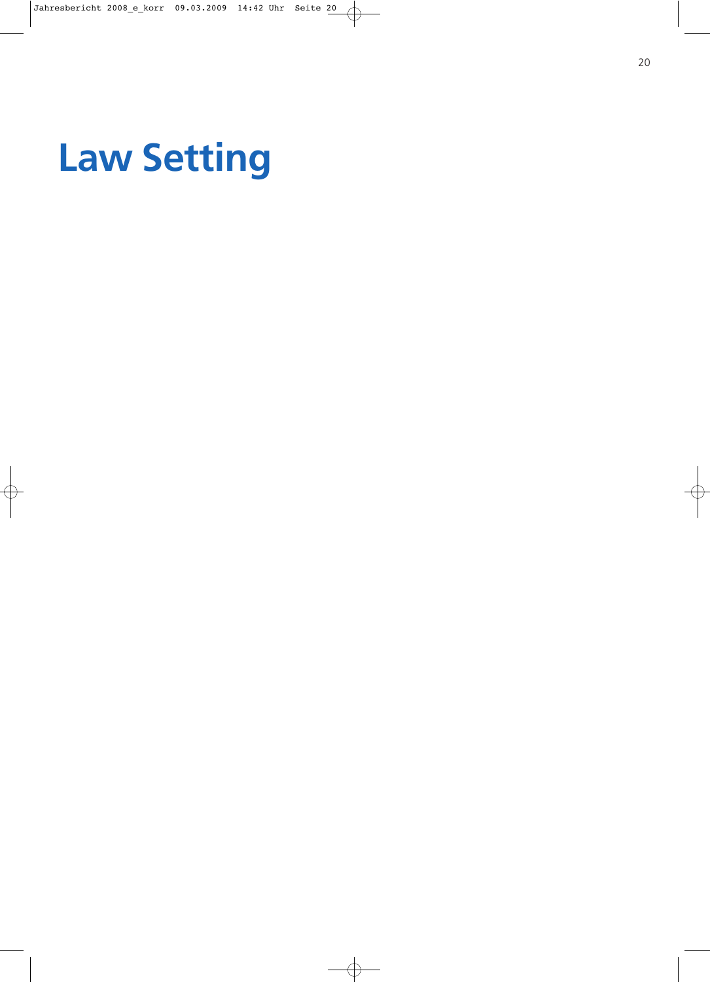# **Law Setting**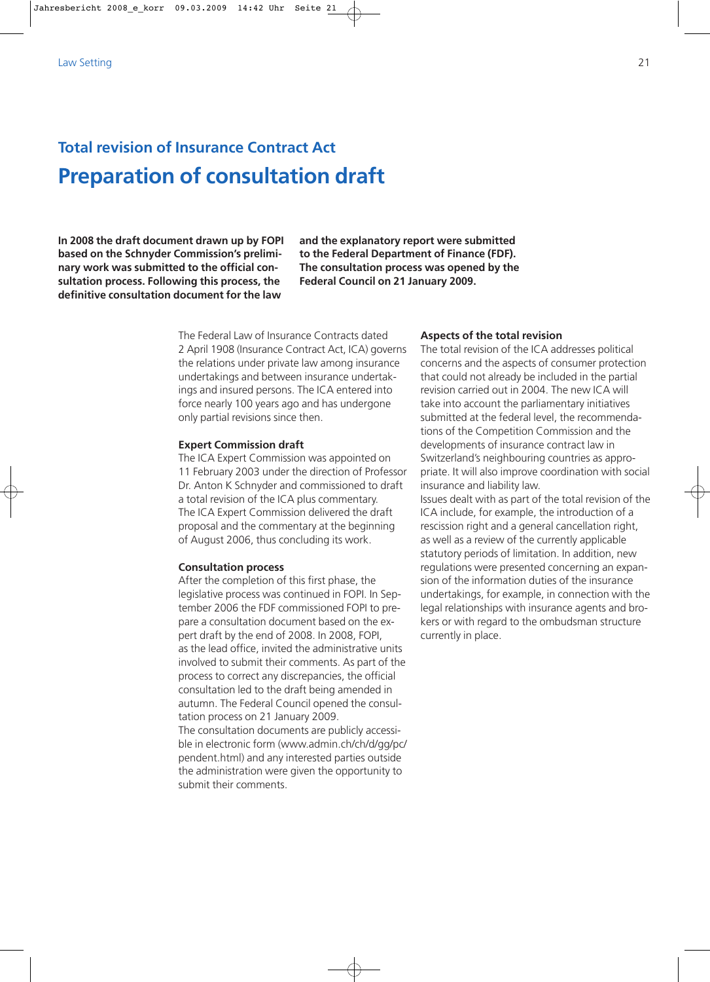# **Total revision of Insurance Contract Act Preparation of consultation draft**

**In 2008 the draft document drawn up by FOPI based on the Schnyder Commission's preliminary work was submitted to the official consultation process. Following this process, the definitive consultation document for the law**

**and the explanatory report were submitted to the Federal Department of Finance (FDF). The consultation process was opened by the Federal Council on 21 January 2009.** 

The Federal Law of Insurance Contracts dated 2 April 1908 (Insurance Contract Act, ICA) governs the relations under private law among insurance undertakings and between insurance undertakings and insured persons. The ICA entered into force nearly 100 years ago and has undergone only partial revisions since then.

### **Expert Commission draft**

The ICA Expert Commission was appointed on 11 February 2003 under the direction of Professor Dr. Anton K Schnyder and commissioned to draft a total revision of the ICA plus commentary. The ICA Expert Commission delivered the draft proposal and the commentary at the beginning of August 2006, thus concluding its work.

### **Consultation process**

After the completion of this first phase, the legislative process was continued in FOPI. In September 2006 the FDF commissioned FOPI to prepare a consultation document based on the expert draft by the end of 2008. In 2008, FOPI, as the lead office, invited the administrative units involved to submit their comments. As part of the process to correct any discrepancies, the official consultation led to the draft being amended in autumn. The Federal Council opened the consultation process on 21 January 2009. The consultation documents are publicly accessible in electronic form (www.admin.ch/ch/d/gg/pc/ pendent.html) and any interested parties outside

the administration were given the opportunity to submit their comments.

### **Aspects of the total revision**

The total revision of the ICA addresses political concerns and the aspects of consumer protection that could not already be included in the partial revision carried out in 2004. The new ICA will take into account the parliamentary initiatives submitted at the federal level, the recommendations of the Competition Commission and the developments of insurance contract law in Switzerland's neighbouring countries as appropriate. It will also improve coordination with social insurance and liability law.

Issues dealt with as part of the total revision of the ICA include, for example, the introduction of a rescission right and a general cancellation right, as well as a review of the currently applicable statutory periods of limitation. In addition, new regulations were presented concerning an expansion of the information duties of the insurance undertakings, for example, in connection with the legal relationships with insurance agents and brokers or with regard to the ombudsman structure currently in place.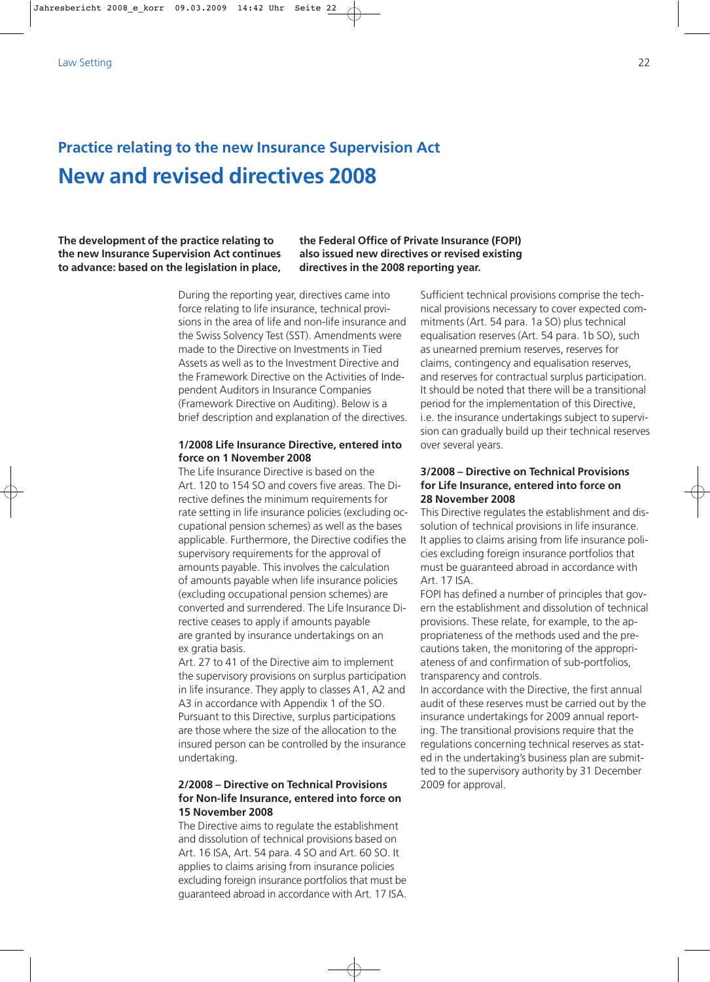# **Practice relating to the new Insurance Supervision Act New and revised directives 2008**

# **The development of the practice relating to the new Insurance Supervision Act continues to advance: based on the legislation in place,**

**the Federal Office of Private Insurance (FOPI) also issued new directives or revised existing directives in the 2008 reporting year.** 

During the reporting year, directives came into force relating to life insurance, technical provisions in the area of life and non-life insurance and the Swiss Solvency Test (SST). Amendments were made to the Directive on Investments in Tied Assets as well as to the Investment Directive and the Framework Directive on the Activities of Independent Auditors in Insurance Companies (Framework Directive on Auditing). Below is a brief description and explanation of the directives.

# **1/2008 Life Insurance Directive, entered into force on 1 November 2008**

The Life Insurance Directive is based on the Art. 120 to 154 SO and covers five areas. The Directive defines the minimum requirements for rate setting in life insurance policies (excluding occupational pension schemes) as well as the bases applicable. Furthermore, the Directive codifies the supervisory requirements for the approval of amounts payable. This involves the calculation of amounts payable when life insurance policies (excluding occupational pension schemes) are converted and surrendered. The Life Insurance Directive ceases to apply if amounts payable are granted by insurance undertakings on an ex gratia basis.

Art. 27 to 41 of the Directive aim to implement the supervisory provisions on surplus participation in life insurance. They apply to classes A1, A2 and A3 in accordance with Appendix 1 of the SO. Pursuant to this Directive, surplus participations are those where the size of the allocation to the insured person can be controlled by the insurance undertaking.

# **2/2008 – Directive on Technical Provisions for Non-life Insurance, entered into force on 15 November 2008**

The Directive aims to regulate the establishment and dissolution of technical provisions based on Art. 16 ISA, Art. 54 para. 4 SO and Art. 60 SO. It applies to claims arising from insurance policies excluding foreign insurance portfolios that must be guaranteed abroad in accordance with Art. 17 ISA.

Sufficient technical provisions comprise the technical provisions necessary to cover expected commitments (Art. 54 para. 1a SO) plus technical equalisation reserves (Art. 54 para. 1b SO), such as unearned premium reserves, reserves for claims, contingency and equalisation reserves, and reserves for contractual surplus participation. It should be noted that there will be a transitional period for the implementation of this Directive, i.e. the insurance undertakings subject to supervision can gradually build up their technical reserves over several years.

# **3/2008 – Directive on Technical Provisions for Life Insurance, entered into force on 28 November 2008**

This Directive regulates the establishment and dissolution of technical provisions in life insurance. It applies to claims arising from life insurance policies excluding foreign insurance portfolios that must be guaranteed abroad in accordance with Art. 17 ISA.

FOPI has defined a number of principles that govern the establishment and dissolution of technical provisions. These relate, for example, to the appropriateness of the methods used and the precautions taken, the monitoring of the appropriateness of and confirmation of sub-portfolios, transparency and controls.

In accordance with the Directive, the first annual audit of these reserves must be carried out by the insurance undertakings for 2009 annual reporting. The transitional provisions require that the regulations concerning technical reserves as stated in the undertaking's business plan are submitted to the supervisory authority by 31 December 2009 for approval.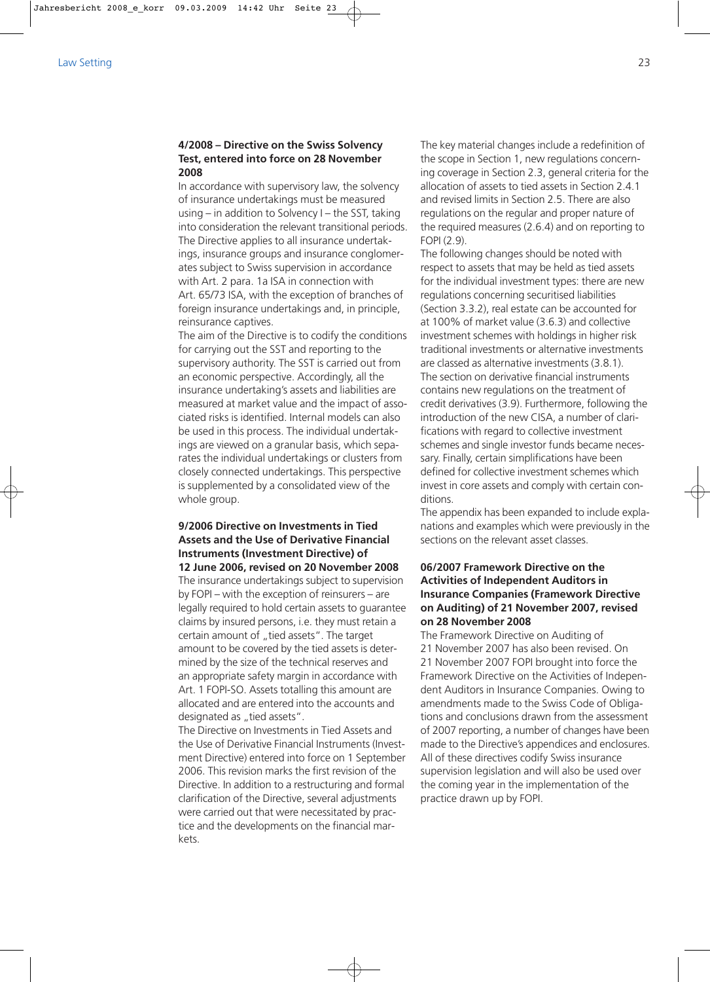## **4/2008 – Directive on the Swiss Solvency Test, entered into force on 28 November 2008**

In accordance with supervisory law, the solvency of insurance undertakings must be measured using – in addition to Solvency I – the SST, taking into consideration the relevant transitional periods. The Directive applies to all insurance undertakings, insurance groups and insurance conglomerates subject to Swiss supervision in accordance with Art. 2 para. 1a ISA in connection with Art. 65/73 ISA, with the exception of branches of foreign insurance undertakings and, in principle, reinsurance captives.

The aim of the Directive is to codify the conditions for carrying out the SST and reporting to the supervisory authority. The SST is carried out from an economic perspective. Accordingly, all the insurance undertaking's assets and liabilities are measured at market value and the impact of associated risks is identified. Internal models can also be used in this process. The individual undertakings are viewed on a granular basis, which separates the individual undertakings or clusters from closely connected undertakings. This perspective is supplemented by a consolidated view of the whole group.

# **9/2006 Directive on Investments in Tied Assets and the Use of Derivative Financial Instruments (Investment Directive) of 12 June 2006, revised on 20 November 2008**

The insurance undertakings subject to supervision by FOPI – with the exception of reinsurers – are legally required to hold certain assets to guarantee claims by insured persons, i.e. they must retain a certain amount of "tied assets". The target amount to be covered by the tied assets is determined by the size of the technical reserves and an appropriate safety margin in accordance with Art. 1 FOPI-SO. Assets totalling this amount are allocated and are entered into the accounts and designated as "tied assets".

The Directive on Investments in Tied Assets and the Use of Derivative Financial Instruments (Investment Directive) entered into force on 1 September 2006. This revision marks the first revision of the Directive. In addition to a restructuring and formal clarification of the Directive, several adjustments were carried out that were necessitated by practice and the developments on the financial markets.

The key material changes include a redefinition of the scope in Section 1, new regulations concerning coverage in Section 2.3, general criteria for the allocation of assets to tied assets in Section 2.4.1 and revised limits in Section 2.5. There are also regulations on the regular and proper nature of the required measures (2.6.4) and on reporting to FOPI (2.9).

The following changes should be noted with respect to assets that may be held as tied assets for the individual investment types: there are new regulations concerning securitised liabilities (Section 3.3.2), real estate can be accounted for at 100% of market value (3.6.3) and collective investment schemes with holdings in higher risk traditional investments or alternative investments are classed as alternative investments (3.8.1). The section on derivative financial instruments contains new regulations on the treatment of credit derivatives (3.9). Furthermore, following the introduction of the new CISA, a number of clarifications with regard to collective investment schemes and single investor funds became necessary. Finally, certain simplifications have been defined for collective investment schemes which invest in core assets and comply with certain conditions.

The appendix has been expanded to include explanations and examples which were previously in the sections on the relevant asset classes.

# **06/2007 Framework Directive on the Activities of Independent Auditors in Insurance Companies (Framework Directive on Auditing) of 21 November 2007, revised on 28 November 2008**

The Framework Directive on Auditing of 21 November 2007 has also been revised. On 21 November 2007 FOPI brought into force the Framework Directive on the Activities of Independent Auditors in Insurance Companies. Owing to amendments made to the Swiss Code of Obligations and conclusions drawn from the assessment of 2007 reporting, a number of changes have been made to the Directive's appendices and enclosures. All of these directives codify Swiss insurance supervision legislation and will also be used over the coming year in the implementation of the practice drawn up by FOPI.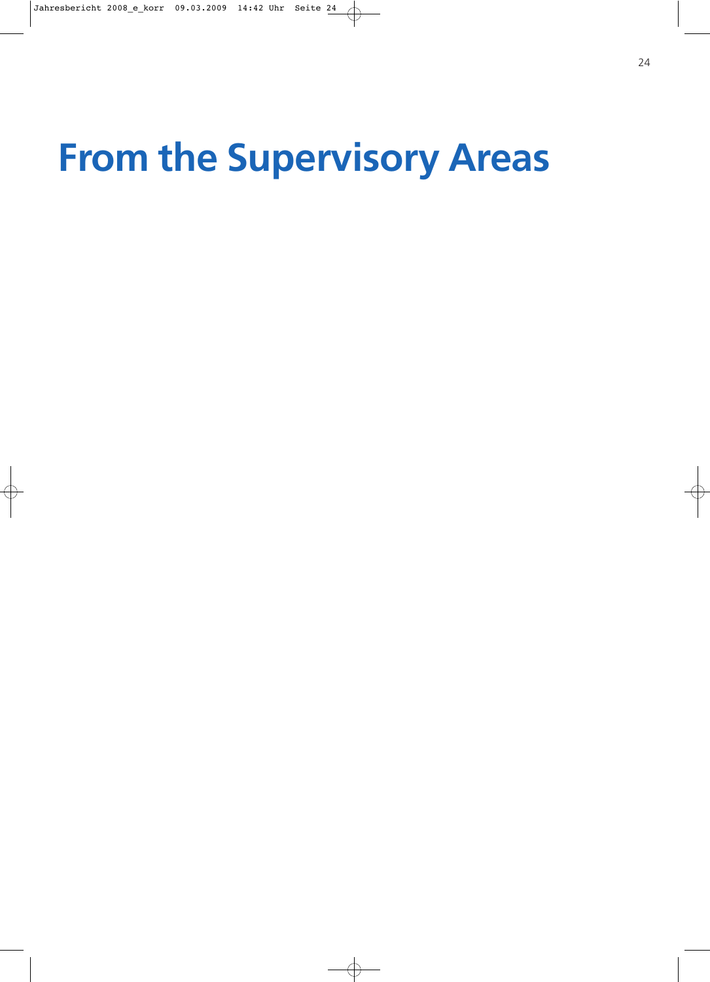# **From the Supervisory Areas**

- 
- -
	-
- -
	-
- 
- 
- -

24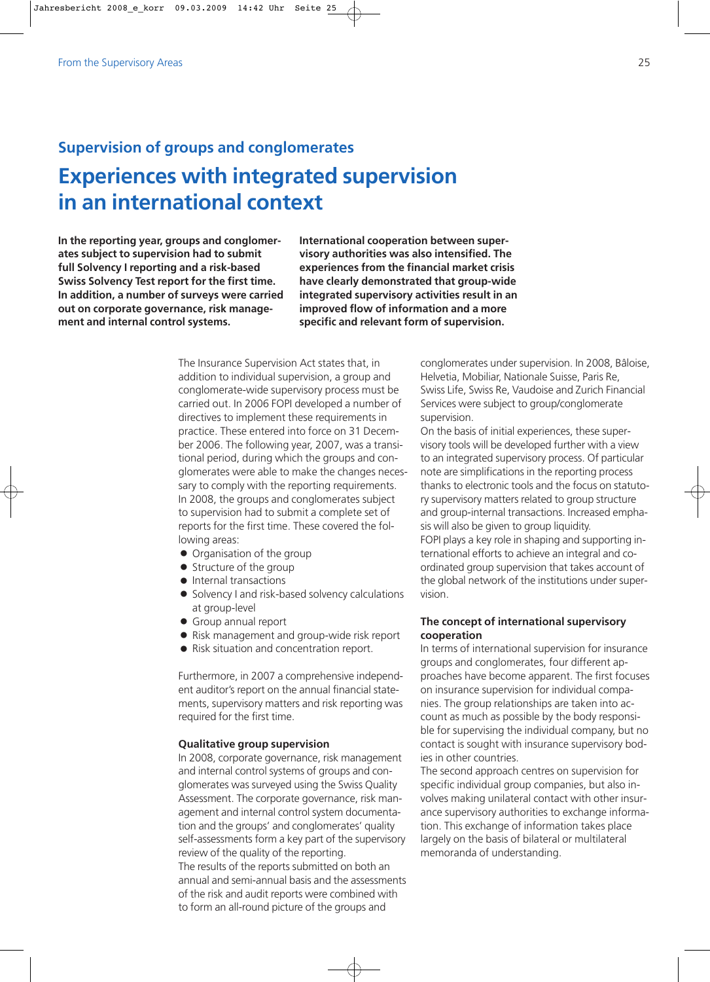# **Supervision of groups and conglomerates Experiences with integrated supervision in an international context**

**In the reporting year, groups and conglomerates subject to supervision had to submit full Solvency I reporting and a risk-based Swiss Solvency Test report for the first time. In addition, a number of surveys were carried out on corporate governance, risk management and internal control systems.** 

**International cooperation between supervisory authorities was also intensified. The experiences from the financial market crisis have clearly demonstrated that group-wide integrated supervisory activities result in an improved flow of information and a more specific and relevant form of supervision.**

The Insurance Supervision Act states that, in addition to individual supervision, a group and conglomerate-wide supervisory process must be carried out. In 2006 FOPI developed a number of directives to implement these requirements in practice. These entered into force on 31 December 2006. The following year, 2007, was a transitional period, during which the groups and conglomerates were able to make the changes necessary to comply with the reporting requirements. In 2008, the groups and conglomerates subject to supervision had to submit a complete set of reports for the first time. These covered the following areas:

- Organisation of the group
- Structure of the group
- $\bullet$  Internal transactions
- $\bullet$  Solvency I and risk-based solvency calculations at group-level
- Group annual report
- Risk management and group-wide risk report
- Risk situation and concentration report.

Furthermore, in 2007 a comprehensive independent auditor's report on the annual financial statements, supervisory matters and risk reporting was required for the first time.

### **Qualitative group supervision**

In 2008, corporate governance, risk management and internal control systems of groups and conglomerates was surveyed using the Swiss Quality Assessment. The corporate governance, risk management and internal control system documentation and the groups' and conglomerates' quality self-assessments form a key part of the supervisory review of the quality of the reporting. The results of the reports submitted on both an annual and semi-annual basis and the assessments of the risk and audit reports were combined with to form an all-round picture of the groups and

conglomerates under supervision. In 2008, Bâloise, Helvetia, Mobiliar, Nationale Suisse, Paris Re, Swiss Life, Swiss Re, Vaudoise and Zurich Financial Services were subject to group/conglomerate supervision.

On the basis of initial experiences, these supervisory tools will be developed further with a view to an integrated supervisory process. Of particular note are simplifications in the reporting process thanks to electronic tools and the focus on statutory supervisory matters related to group structure and group-internal transactions. Increased emphasis will also be given to group liquidity. FOPI plays a key role in shaping and supporting international efforts to achieve an integral and coordinated group supervision that takes account of the global network of the institutions under supervision.

# **The concept of international supervisory cooperation**

In terms of international supervision for insurance groups and conglomerates, four different approaches have become apparent. The first focuses on insurance supervision for individual companies. The group relationships are taken into account as much as possible by the body responsible for supervising the individual company, but no contact is sought with insurance supervisory bodies in other countries.

The second approach centres on supervision for specific individual group companies, but also involves making unilateral contact with other insurance supervisory authorities to exchange information. This exchange of information takes place largely on the basis of bilateral or multilateral memoranda of understanding.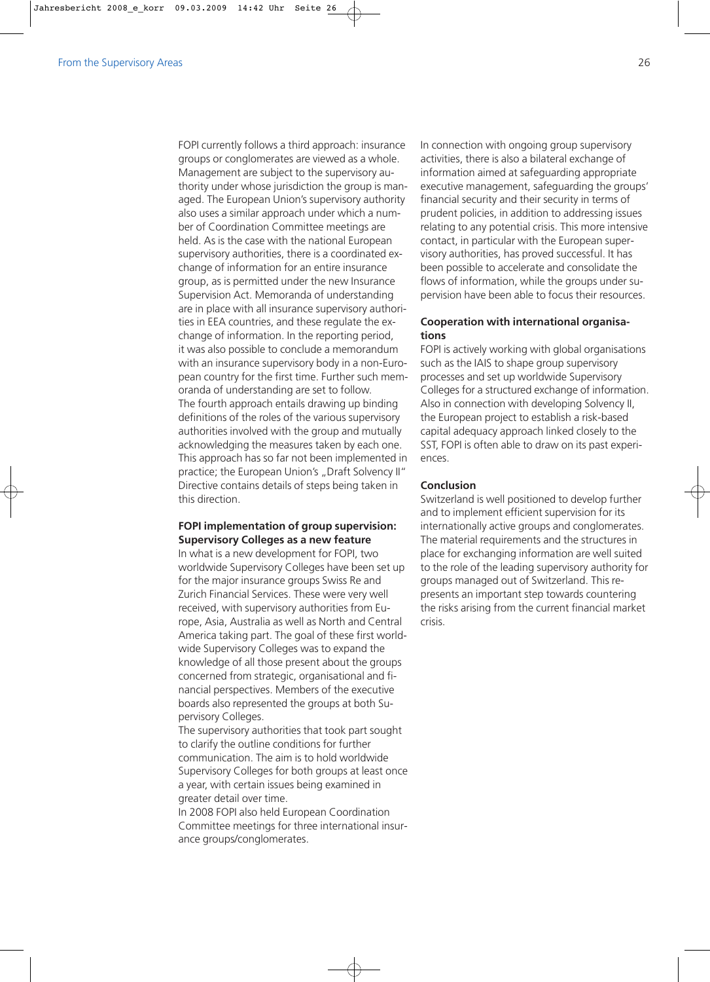FOPI currently follows a third approach: insurance groups or conglomerates are viewed as a whole. Management are subject to the supervisory authority under whose jurisdiction the group is managed. The European Union's supervisory authority also uses a similar approach under which a number of Coordination Committee meetings are held. As is the case with the national European supervisory authorities, there is a coordinated exchange of information for an entire insurance group, as is permitted under the new Insurance Supervision Act. Memoranda of understanding are in place with all insurance supervisory authorities in EEA countries, and these regulate the exchange of information. In the reporting period, it was also possible to conclude a memorandum with an insurance supervisory body in a non-European country for the first time. Further such memoranda of understanding are set to follow. The fourth approach entails drawing up binding definitions of the roles of the various supervisory authorities involved with the group and mutually acknowledging the measures taken by each one. This approach has so far not been implemented in practice; the European Union's "Draft Solvency II" Directive contains details of steps being taken in this direction.

## **FOPI implementation of group supervision: Supervisory Colleges as a new feature**

In what is a new development for FOPI, two worldwide Supervisory Colleges have been set up for the major insurance groups Swiss Re and Zurich Financial Services. These were very well received, with supervisory authorities from Europe, Asia, Australia as well as North and Central America taking part. The goal of these first worldwide Supervisory Colleges was to expand the knowledge of all those present about the groups concerned from strategic, organisational and financial perspectives. Members of the executive boards also represented the groups at both Supervisory Colleges.

The supervisory authorities that took part sought to clarify the outline conditions for further communication. The aim is to hold worldwide Supervisory Colleges for both groups at least once a year, with certain issues being examined in greater detail over time.

In 2008 FOPI also held European Coordination Committee meetings for three international insurance groups/conglomerates.

In connection with ongoing group supervisory activities, there is also a bilateral exchange of information aimed at safeguarding appropriate executive management, safeguarding the groups' financial security and their security in terms of prudent policies, in addition to addressing issues relating to any potential crisis. This more intensive contact, in particular with the European supervisory authorities, has proved successful. It has been possible to accelerate and consolidate the flows of information, while the groups under supervision have been able to focus their resources.

# **Cooperation with international organisations**

FOPI is actively working with global organisations such as the IAIS to shape group supervisory processes and set up worldwide Supervisory Colleges for a structured exchange of information. Also in connection with developing Solvency II, the European project to establish a risk-based capital adequacy approach linked closely to the SST, FOPI is often able to draw on its past experiences.

# **Conclusion**

Switzerland is well positioned to develop further and to implement efficient supervision for its internationally active groups and conglomerates. The material requirements and the structures in place for exchanging information are well suited to the role of the leading supervisory authority for groups managed out of Switzerland. This represents an important step towards countering the risks arising from the current financial market crisis.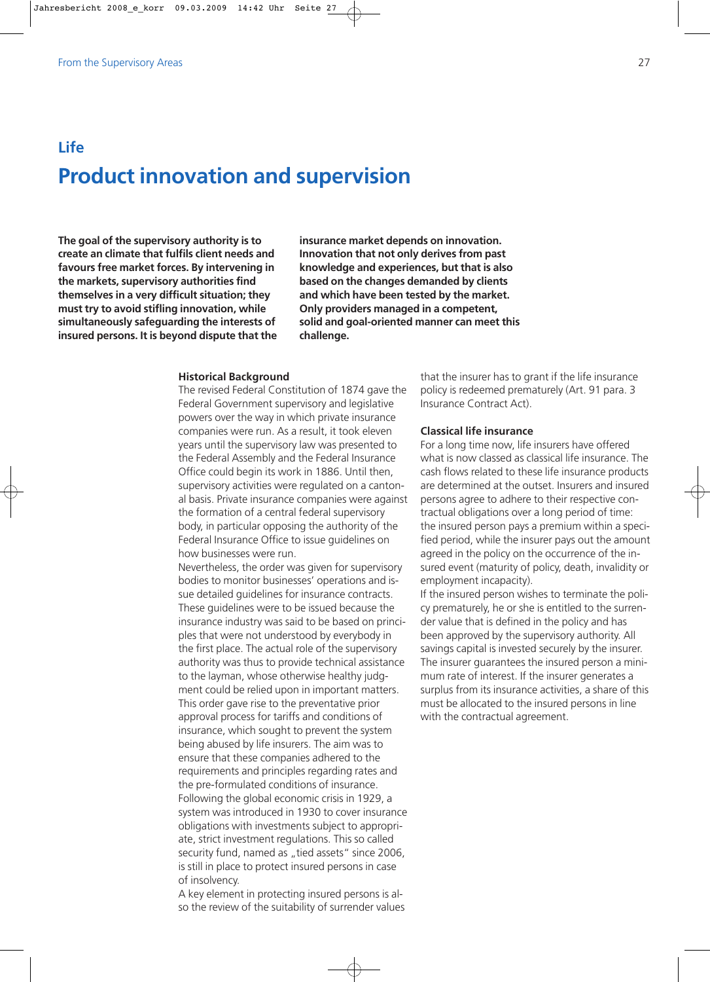# **Life Product innovation and supervision**

**The goal of the supervisory authority is to create an climate that fulfils client needs and favours free market forces. By intervening in the markets, supervisory authorities find themselves in a very difficult situation; they must try to avoid stifling innovation, while simultaneously safeguarding the interests of insured persons. It is beyond dispute that the** **insurance market depends on innovation. Innovation that not only derives from past knowledge and experiences, but that is also based on the changes demanded by clients and which have been tested by the market. Only providers managed in a competent, solid and goal-oriented manner can meet this challenge.**

### **Historical Background**

The revised Federal Constitution of 1874 gave the Federal Government supervisory and legislative powers over the way in which private insurance companies were run. As a result, it took eleven years until the supervisory law was presented to the Federal Assembly and the Federal Insurance Office could begin its work in 1886. Until then, supervisory activities were regulated on a cantonal basis. Private insurance companies were against the formation of a central federal supervisory body, in particular opposing the authority of the Federal Insurance Office to issue guidelines on how businesses were run.

Nevertheless, the order was given for supervisory bodies to monitor businesses' operations and issue detailed guidelines for insurance contracts. These guidelines were to be issued because the insurance industry was said to be based on principles that were not understood by everybody in the first place. The actual role of the supervisory authority was thus to provide technical assistance to the layman, whose otherwise healthy judgment could be relied upon in important matters. This order gave rise to the preventative prior approval process for tariffs and conditions of insurance, which sought to prevent the system being abused by life insurers. The aim was to ensure that these companies adhered to the requirements and principles regarding rates and the pre-formulated conditions of insurance. Following the global economic crisis in 1929, a system was introduced in 1930 to cover insurance obligations with investments subject to appropriate, strict investment regulations. This so called security fund, named as "tied assets" since 2006, is still in place to protect insured persons in case of insolvency.

A key element in protecting insured persons is also the review of the suitability of surrender values that the insurer has to grant if the life insurance policy is redeemed prematurely (Art. 91 para. 3 Insurance Contract Act).

### **Classical life insurance**

For a long time now, life insurers have offered what is now classed as classical life insurance. The cash flows related to these life insurance products are determined at the outset. Insurers and insured persons agree to adhere to their respective contractual obligations over a long period of time: the insured person pays a premium within a specified period, while the insurer pays out the amount agreed in the policy on the occurrence of the insured event (maturity of policy, death, invalidity or employment incapacity).

If the insured person wishes to terminate the policy prematurely, he or she is entitled to the surrender value that is defined in the policy and has been approved by the supervisory authority. All savings capital is invested securely by the insurer. The insurer guarantees the insured person a minimum rate of interest. If the insurer generates a surplus from its insurance activities, a share of this must be allocated to the insured persons in line with the contractual agreement.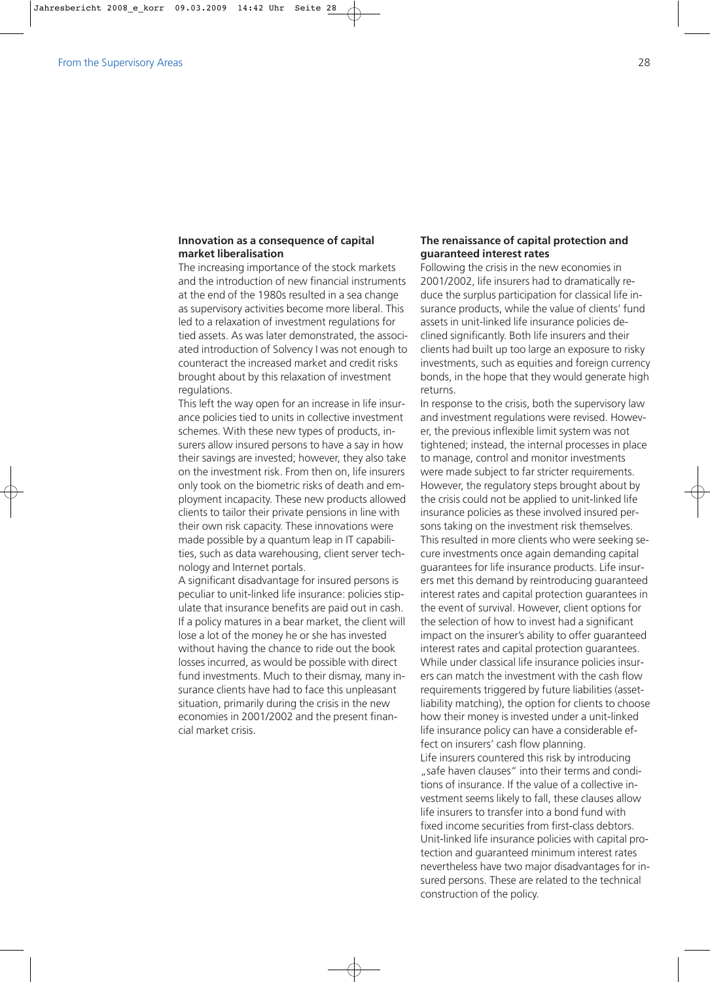# **Innovation as a consequence of capital market liberalisation**

The increasing importance of the stock markets and the introduction of new financial instruments at the end of the 1980s resulted in a sea change as supervisory activities become more liberal. This led to a relaxation of investment regulations for tied assets. As was later demonstrated, the associated introduction of Solvency I was not enough to counteract the increased market and credit risks brought about by this relaxation of investment regulations.

This left the way open for an increase in life insurance policies tied to units in collective investment schemes. With these new types of products, insurers allow insured persons to have a say in how their savings are invested; however, they also take on the investment risk. From then on, life insurers only took on the biometric risks of death and employment incapacity. These new products allowed clients to tailor their private pensions in line with their own risk capacity. These innovations were made possible by a quantum leap in IT capabilities, such as data warehousing, client server technology and Internet portals.

A significant disadvantage for insured persons is peculiar to unit-linked life insurance: policies stipulate that insurance benefits are paid out in cash. If a policy matures in a bear market, the client will lose a lot of the money he or she has invested without having the chance to ride out the book losses incurred, as would be possible with direct fund investments. Much to their dismay, many insurance clients have had to face this unpleasant situation, primarily during the crisis in the new economies in 2001/2002 and the present financial market crisis.

# **The renaissance of capital protection and guaranteed interest rates**

Following the crisis in the new economies in 2001/2002, life insurers had to dramatically reduce the surplus participation for classical life insurance products, while the value of clients' fund assets in unit-linked life insurance policies declined significantly. Both life insurers and their clients had built up too large an exposure to risky investments, such as equities and foreign currency bonds, in the hope that they would generate high returns.

In response to the crisis, both the supervisory law and investment regulations were revised. However, the previous inflexible limit system was not tightened; instead, the internal processes in place to manage, control and monitor investments were made subject to far stricter requirements. However, the regulatory steps brought about by the crisis could not be applied to unit-linked life insurance policies as these involved insured persons taking on the investment risk themselves. This resulted in more clients who were seeking secure investments once again demanding capital guarantees for life insurance products. Life insurers met this demand by reintroducing guaranteed interest rates and capital protection guarantees in the event of survival. However, client options for the selection of how to invest had a significant impact on the insurer's ability to offer guaranteed interest rates and capital protection guarantees. While under classical life insurance policies insurers can match the investment with the cash flow requirements triggered by future liabilities (assetliability matching), the option for clients to choose how their money is invested under a unit-linked life insurance policy can have a considerable effect on insurers' cash flow planning. Life insurers countered this risk by introducing "safe haven clauses" into their terms and conditions of insurance. If the value of a collective investment seems likely to fall, these clauses allow life insurers to transfer into a bond fund with fixed income securities from first-class debtors. Unit-linked life insurance policies with capital protection and guaranteed minimum interest rates nevertheless have two major disadvantages for insured persons. These are related to the technical construction of the policy.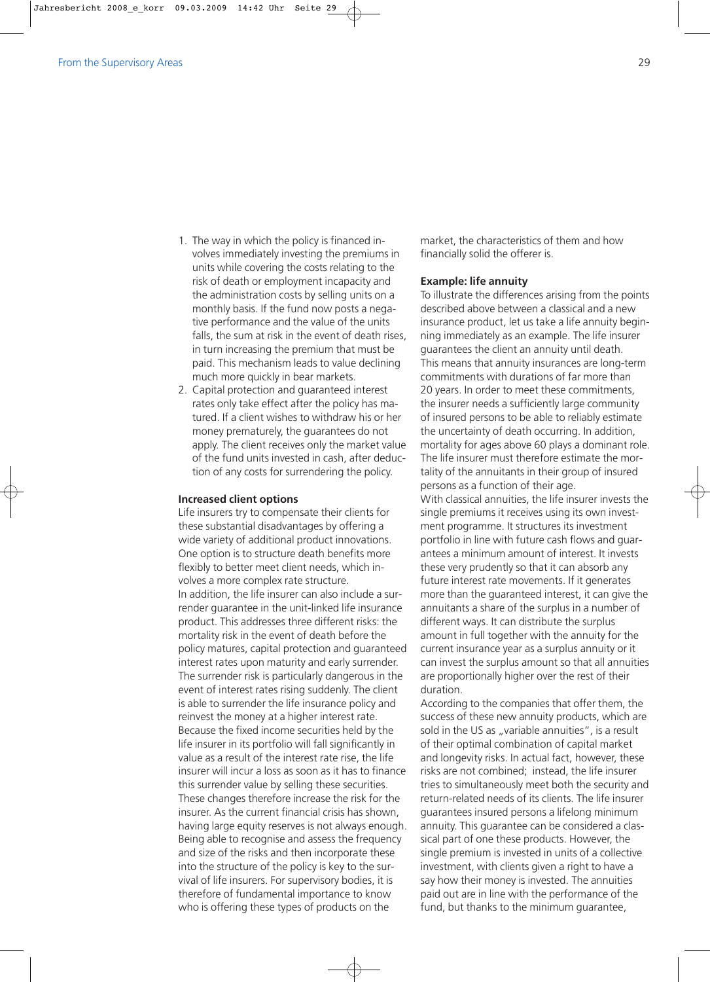- 1. The way in which the policy is financed involves immediately investing the premiums in units while covering the costs relating to the risk of death or employment incapacity and the administration costs by selling units on a monthly basis. If the fund now posts a negative performance and the value of the units falls, the sum at risk in the event of death rises, in turn increasing the premium that must be paid. This mechanism leads to value declining much more quickly in bear markets.
- 2. Capital protection and guaranteed interest rates only take effect after the policy has matured. If a client wishes to withdraw his or her money prematurely, the guarantees do not apply. The client receives only the market value of the fund units invested in cash, after deduction of any costs for surrendering the policy.

#### **Increased client options**

Life insurers try to compensate their clients for these substantial disadvantages by offering a wide variety of additional product innovations. One option is to structure death benefits more flexibly to better meet client needs, which involves a more complex rate structure. In addition, the life insurer can also include a surrender guarantee in the unit-linked life insurance product. This addresses three different risks: the mortality risk in the event of death before the policy matures, capital protection and guaranteed interest rates upon maturity and early surrender. The surrender risk is particularly dangerous in the event of interest rates rising suddenly. The client is able to surrender the life insurance policy and reinvest the money at a higher interest rate. Because the fixed income securities held by the life insurer in its portfolio will fall significantly in value as a result of the interest rate rise, the life insurer will incur a loss as soon as it has to finance this surrender value by selling these securities. These changes therefore increase the risk for the insurer. As the current financial crisis has shown, having large equity reserves is not always enough. Being able to recognise and assess the frequency and size of the risks and then incorporate these into the structure of the policy is key to the survival of life insurers. For supervisory bodies, it is therefore of fundamental importance to know who is offering these types of products on the

market, the characteristics of them and how financially solid the offerer is.

## **Example: life annuity**

To illustrate the differences arising from the points described above between a classical and a new insurance product, let us take a life annuity beginning immediately as an example. The life insurer guarantees the client an annuity until death. This means that annuity insurances are long-term commitments with durations of far more than 20 years. In order to meet these commitments, the insurer needs a sufficiently large community of insured persons to be able to reliably estimate the uncertainty of death occurring. In addition, mortality for ages above 60 plays a dominant role. The life insurer must therefore estimate the mortality of the annuitants in their group of insured persons as a function of their age. With classical annuities, the life insurer invests the single premiums it receives using its own investment programme. It structures its investment portfolio in line with future cash flows and guarantees a minimum amount of interest. It invests these very prudently so that it can absorb any future interest rate movements. If it generates more than the guaranteed interest, it can give the annuitants a share of the surplus in a number of different ways. It can distribute the surplus amount in full together with the annuity for the current insurance year as a surplus annuity or it can invest the surplus amount so that all annuities are proportionally higher over the rest of their duration.

According to the companies that offer them, the success of these new annuity products, which are sold in the US as "variable annuities", is a result of their optimal combination of capital market and longevity risks. In actual fact, however, these risks are not combined; instead, the life insurer tries to simultaneously meet both the security and return-related needs of its clients. The life insurer guarantees insured persons a lifelong minimum annuity. This guarantee can be considered a classical part of one these products. However, the single premium is invested in units of a collective investment, with clients given a right to have a say how their money is invested. The annuities paid out are in line with the performance of the fund, but thanks to the minimum guarantee,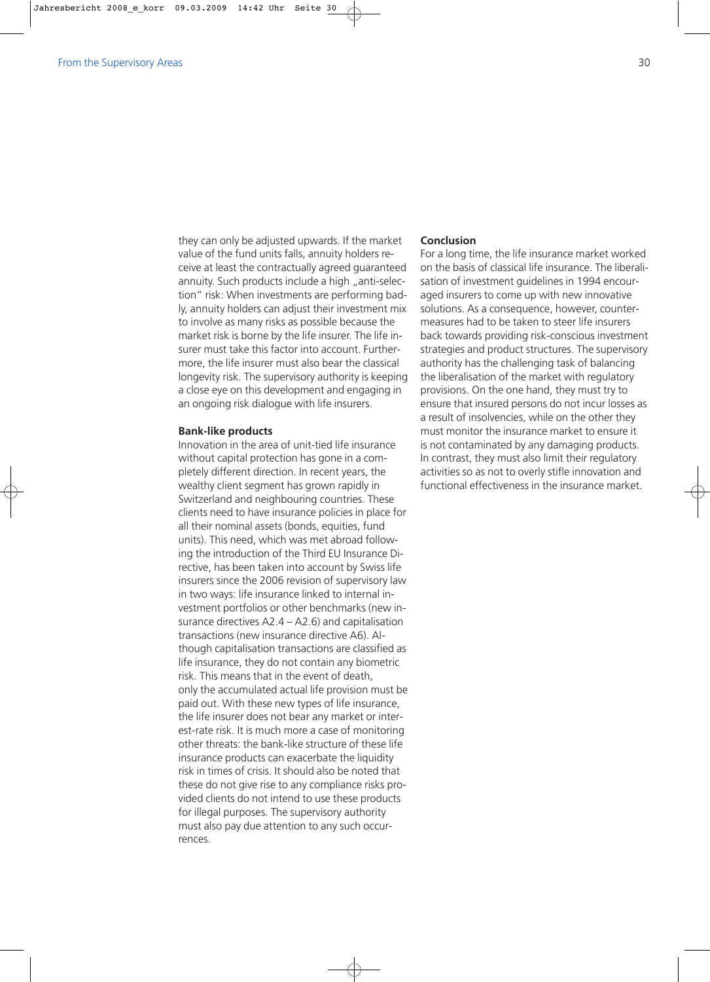they can only be adjusted upwards. If the market value of the fund units falls, annuity holders receive at least the contractually agreed guaranteed annuity. Such products include a high "anti-selection" risk: When investments are performing badly, annuity holders can adjust their investment mix to involve as many risks as possible because the market risk is borne by the life insurer. The life insurer must take this factor into account. Furthermore, the life insurer must also bear the classical longevity risk. The supervisory authority is keeping a close eye on this development and engaging in an ongoing risk dialogue with life insurers.

### **Bank-like products**

Innovation in the area of unit-tied life insurance without capital protection has gone in a completely different direction. In recent years, the wealthy client segment has grown rapidly in Switzerland and neighbouring countries. These clients need to have insurance policies in place for all their nominal assets (bonds, equities, fund units). This need, which was met abroad following the introduction of the Third EU Insurance Directive, has been taken into account by Swiss life insurers since the 2006 revision of supervisory law in two ways: life insurance linked to internal investment portfolios or other benchmarks (new insurance directives A2.4 – A2.6) and capitalisation transactions (new insurance directive A6). Although capitalisation transactions are classified as life insurance, they do not contain any biometric risk. This means that in the event of death, only the accumulated actual life provision must be paid out. With these new types of life insurance, the life insurer does not bear any market or interest-rate risk. It is much more a case of monitoring other threats: the bank-like structure of these life insurance products can exacerbate the liquidity risk in times of crisis. It should also be noted that these do not give rise to any compliance risks provided clients do not intend to use these products for illegal purposes. The supervisory authority must also pay due attention to any such occurrences.

## **Conclusion**

For a long time, the life insurance market worked on the basis of classical life insurance. The liberalisation of investment guidelines in 1994 encouraged insurers to come up with new innovative solutions. As a consequence, however, countermeasures had to be taken to steer life insurers back towards providing risk-conscious investment strategies and product structures. The supervisory authority has the challenging task of balancing the liberalisation of the market with regulatory provisions. On the one hand, they must try to ensure that insured persons do not incur losses as a result of insolvencies, while on the other they must monitor the insurance market to ensure it is not contaminated by any damaging products. In contrast, they must also limit their regulatory activities so as not to overly stifle innovation and functional effectiveness in the insurance market.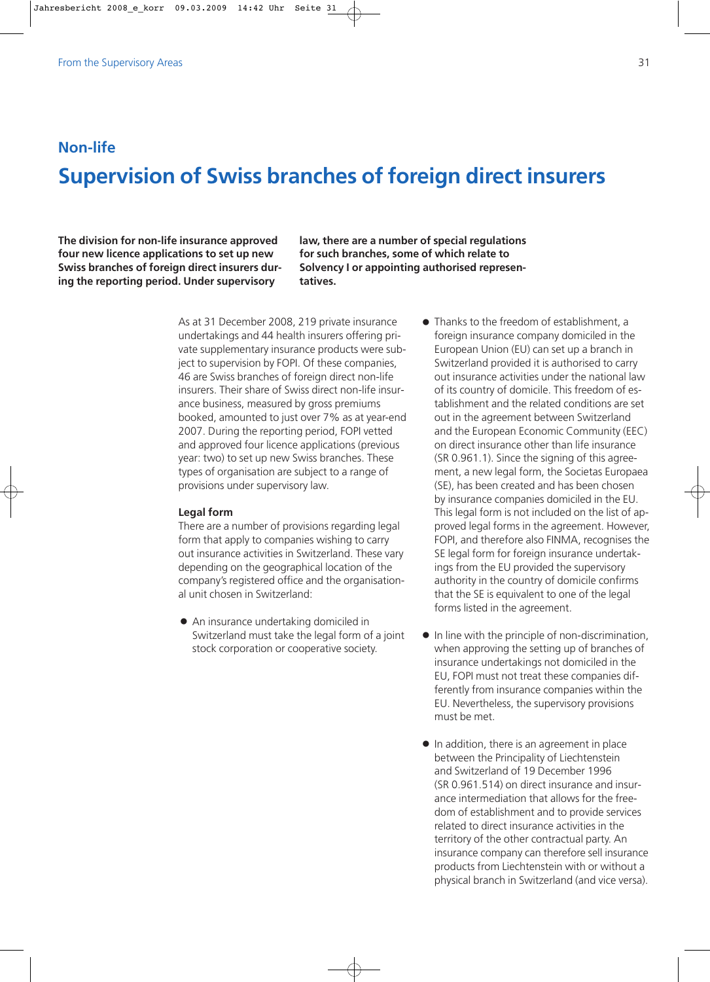# **Non-life Supervision of Swiss branches of foreign direct insurers**

**The division for non-life insurance approved four new licence applications to set up new Swiss branches of foreign direct insurers during the reporting period. Under supervisory**

**law, there are a number of special regulations for such branches, some of which relate to Solvency I or appointing authorised representatives.**

As at 31 December 2008, 219 private insurance undertakings and 44 health insurers offering private supplementary insurance products were subject to supervision by FOPI. Of these companies, 46 are Swiss branches of foreign direct non-life insurers. Their share of Swiss direct non-life insurance business, measured by gross premiums booked, amounted to just over 7% as at year-end 2007. During the reporting period, FOPI vetted and approved four licence applications (previous year: two) to set up new Swiss branches. These types of organisation are subject to a range of provisions under supervisory law.

### **Legal form**

There are a number of provisions regarding legal form that apply to companies wishing to carry out insurance activities in Switzerland. These vary depending on the geographical location of the company's registered office and the organisational unit chosen in Switzerland:

- $\bullet$  An insurance undertaking domiciled in Switzerland must take the legal form of a joint stock corporation or cooperative society.
- $\bullet$  Thanks to the freedom of establishment, a foreign insurance company domiciled in the European Union (EU) can set up a branch in Switzerland provided it is authorised to carry out insurance activities under the national law of its country of domicile. This freedom of establishment and the related conditions are set out in the agreement between Switzerland and the European Economic Community (EEC) on direct insurance other than life insurance (SR 0.961.1). Since the signing of this agreement, a new legal form, the Societas Europaea (SE), has been created and has been chosen by insurance companies domiciled in the EU. This legal form is not included on the list of approved legal forms in the agreement. However, FOPI, and therefore also FINMA, recognises the SE legal form for foreign insurance undertakings from the EU provided the supervisory authority in the country of domicile confirms that the SE is equivalent to one of the legal forms listed in the agreement.
- $\bullet$  In line with the principle of non-discrimination, when approving the setting up of branches of insurance undertakings not domiciled in the EU, FOPI must not treat these companies differently from insurance companies within the EU. Nevertheless, the supervisory provisions must be met.
- $\bullet$  In addition, there is an agreement in place between the Principality of Liechtenstein and Switzerland of 19 December 1996 (SR 0.961.514) on direct insurance and insurance intermediation that allows for the freedom of establishment and to provide services related to direct insurance activities in the territory of the other contractual party. An insurance company can therefore sell insurance products from Liechtenstein with or without a physical branch in Switzerland (and vice versa).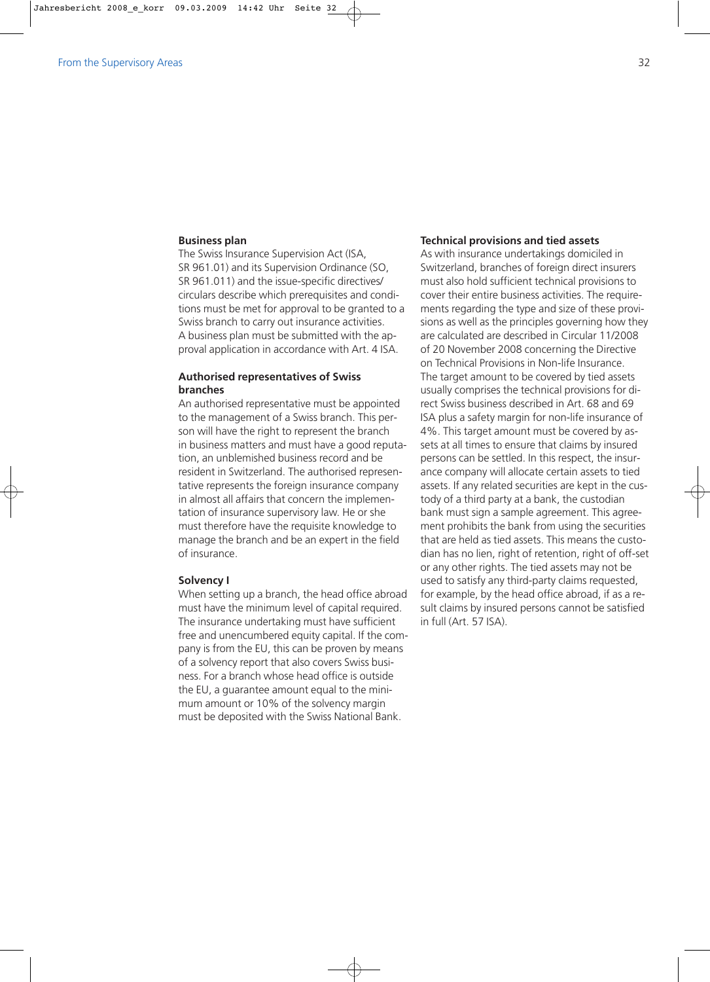## **Business plan**

The Swiss Insurance Supervision Act (ISA, SR 961.01) and its Supervision Ordinance (SO, SR 961.011) and the issue-specific directives/ circulars describe which prerequisites and conditions must be met for approval to be granted to a Swiss branch to carry out insurance activities. A business plan must be submitted with the approval application in accordance with Art. 4 ISA.

# **Authorised representatives of Swiss branches**

An authorised representative must be appointed to the management of a Swiss branch. This person will have the right to represent the branch in business matters and must have a good reputation, an unblemished business record and be resident in Switzerland. The authorised representative represents the foreign insurance company in almost all affairs that concern the implementation of insurance supervisory law. He or she must therefore have the requisite knowledge to manage the branch and be an expert in the field of insurance.

## **Solvency I**

When setting up a branch, the head office abroad must have the minimum level of capital required. The insurance undertaking must have sufficient free and unencumbered equity capital. If the company is from the EU, this can be proven by means of a solvency report that also covers Swiss business. For a branch whose head office is outside the EU, a guarantee amount equal to the minimum amount or 10% of the solvency margin must be deposited with the Swiss National Bank.

### **Technical provisions and tied assets**

As with insurance undertakings domiciled in Switzerland, branches of foreign direct insurers must also hold sufficient technical provisions to cover their entire business activities. The requirements regarding the type and size of these provisions as well as the principles governing how they are calculated are described in Circular 11/2008 of 20 November 2008 concerning the Directive on Technical Provisions in Non-life Insurance. The target amount to be covered by tied assets usually comprises the technical provisions for direct Swiss business described in Art. 68 and 69 ISA plus a safety margin for non-life insurance of 4%. This target amount must be covered by assets at all times to ensure that claims by insured persons can be settled. In this respect, the insurance company will allocate certain assets to tied assets. If any related securities are kept in the custody of a third party at a bank, the custodian bank must sign a sample agreement. This agreement prohibits the bank from using the securities that are held as tied assets. This means the custodian has no lien, right of retention, right of off-set or any other rights. The tied assets may not be used to satisfy any third-party claims requested, for example, by the head office abroad, if as a result claims by insured persons cannot be satisfied in full (Art. 57 ISA).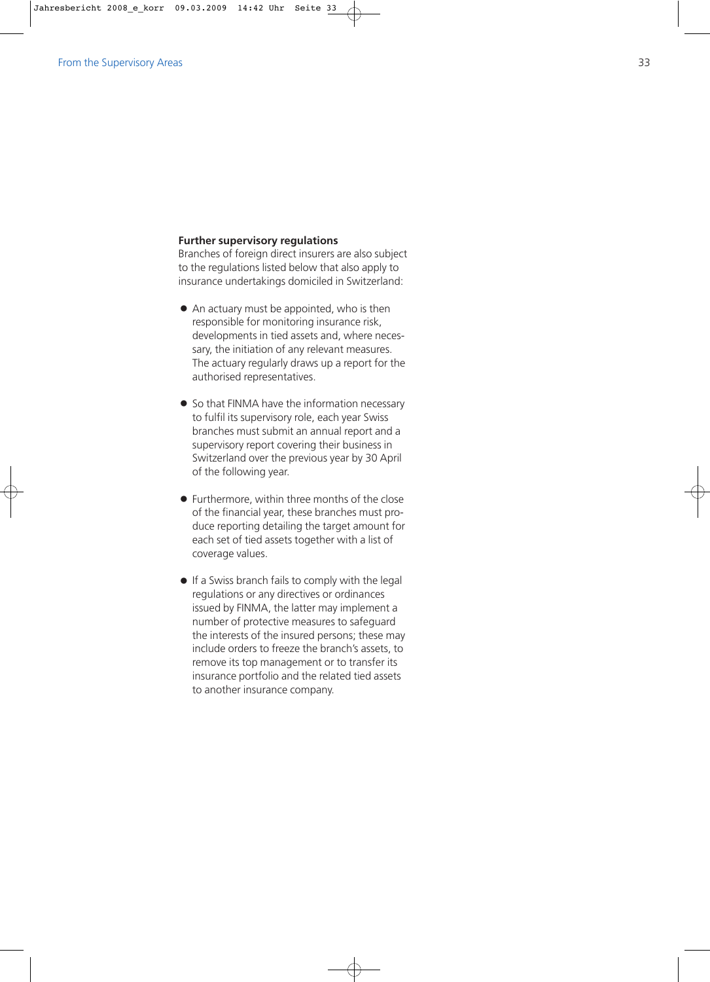### **Further supervisory regulations**

Branches of foreign direct insurers are also subject to the regulations listed below that also apply to insurance undertakings domiciled in Switzerland:

- $\bullet$  An actuary must be appointed, who is then responsible for monitoring insurance risk, developments in tied assets and, where necessary, the initiation of any relevant measures. The actuary regularly draws up a report for the authorised representatives.
- So that FINMA have the information necessary to fulfil its supervisory role, each year Swiss branches must submit an annual report and a supervisory report covering their business in Switzerland over the previous year by 30 April of the following year.
- Furthermore, within three months of the close of the financial year, these branches must produce reporting detailing the target amount for each set of tied assets together with a list of coverage values.
- If a Swiss branch fails to comply with the legal regulations or any directives or ordinances issued by FINMA, the latter may implement a number of protective measures to safeguard the interests of the insured persons; these may include orders to freeze the branch's assets, to remove its top management or to transfer its insurance portfolio and the related tied assets to another insurance company.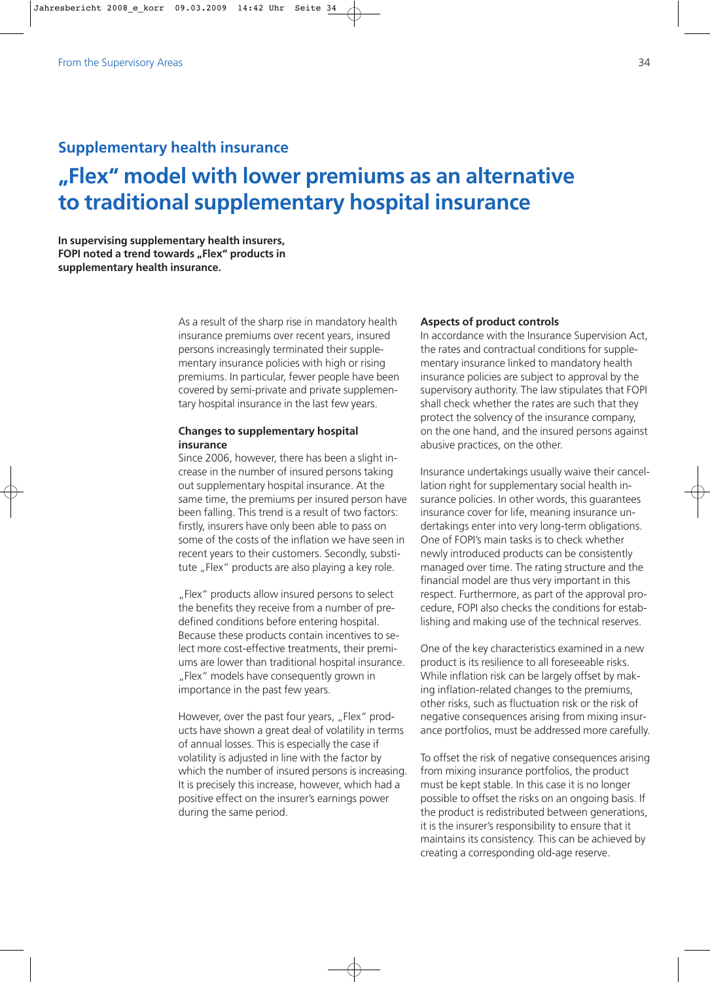# **Supplementary health insurance**

# **"Flex" model with lower premiums as an alternative to traditional supplementary hospital insurance**

**In supervising supplementary health insurers, FOPI noted a trend towards "Flex" products in supplementary health insurance.** 

> As a result of the sharp rise in mandatory health insurance premiums over recent years, insured persons increasingly terminated their supplementary insurance policies with high or rising premiums. In particular, fewer people have been covered by semi-private and private supplementary hospital insurance in the last few years.

# **Changes to supplementary hospital insurance**

Since 2006, however, there has been a slight increase in the number of insured persons taking out supplementary hospital insurance. At the same time, the premiums per insured person have been falling. This trend is a result of two factors: firstly, insurers have only been able to pass on some of the costs of the inflation we have seen in recent years to their customers. Secondly, substitute "Flex" products are also playing a key role.

"Flex" products allow insured persons to select the benefits they receive from a number of predefined conditions before entering hospital. Because these products contain incentives to select more cost-effective treatments, their premiums are lower than traditional hospital insurance. "Flex" models have consequently grown in importance in the past few years.

However, over the past four years, "Flex" products have shown a great deal of volatility in terms of annual losses. This is especially the case if volatility is adjusted in line with the factor by which the number of insured persons is increasing. It is precisely this increase, however, which had a positive effect on the insurer's earnings power during the same period.

#### **Aspects of product controls**

In accordance with the Insurance Supervision Act, the rates and contractual conditions for supplementary insurance linked to mandatory health insurance policies are subject to approval by the supervisory authority. The law stipulates that FOPI shall check whether the rates are such that they protect the solvency of the insurance company, on the one hand, and the insured persons against abusive practices, on the other.

Insurance undertakings usually waive their cancellation right for supplementary social health insurance policies. In other words, this guarantees insurance cover for life, meaning insurance undertakings enter into very long-term obligations. One of FOPI's main tasks is to check whether newly introduced products can be consistently managed over time. The rating structure and the financial model are thus very important in this respect. Furthermore, as part of the approval procedure, FOPI also checks the conditions for establishing and making use of the technical reserves.

One of the key characteristics examined in a new product is its resilience to all foreseeable risks. While inflation risk can be largely offset by making inflation-related changes to the premiums, other risks, such as fluctuation risk or the risk of negative consequences arising from mixing insurance portfolios, must be addressed more carefully.

To offset the risk of negative consequences arising from mixing insurance portfolios, the product must be kept stable. In this case it is no longer possible to offset the risks on an ongoing basis. If the product is redistributed between generations, it is the insurer's responsibility to ensure that it maintains its consistency. This can be achieved by creating a corresponding old-age reserve.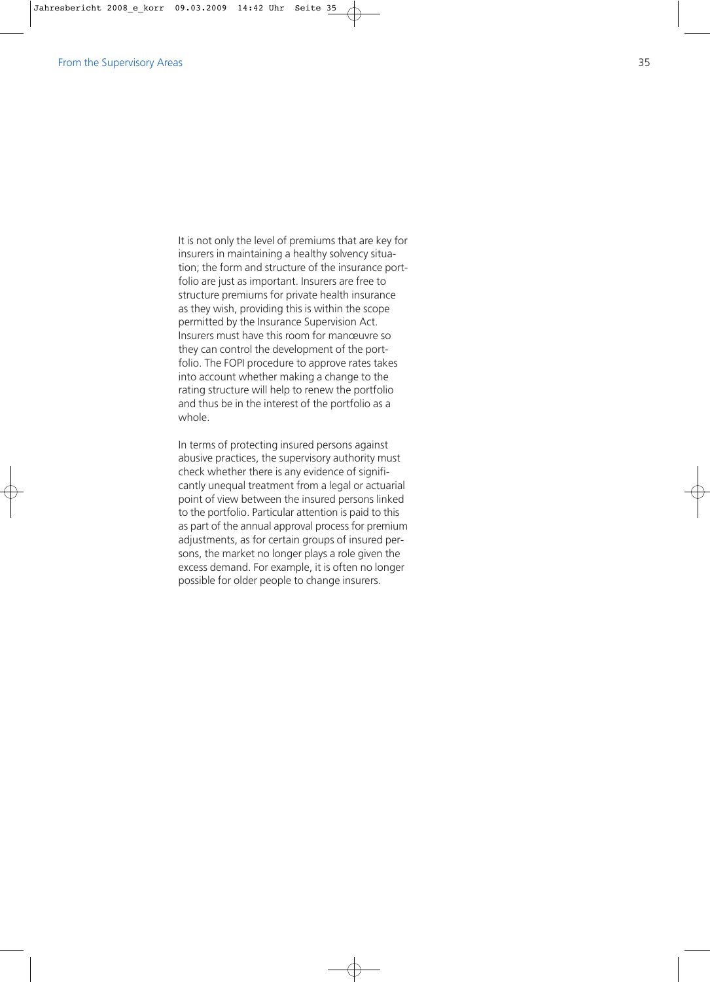It is not only the level of premiums that are key for insurers in maintaining a healthy solvency situation; the form and structure of the insurance portfolio are just as important. Insurers are free to structure premiums for private health insurance as they wish, providing this is within the scope permitted by the Insurance Supervision Act. Insurers must have this room for manœuvre so they can control the development of the portfolio. The FOPI procedure to approve rates takes into account whether making a change to the rating structure will help to renew the portfolio and thus be in the interest of the portfolio as a whole.

In terms of protecting insured persons against abusive practices, the supervisory authority must check whether there is any evidence of significantly unequal treatment from a legal or actuarial point of view between the insured persons linked to the portfolio. Particular attention is paid to this as part of the annual approval process for premium adjustments, as for certain groups of insured persons, the market no longer plays a role given the excess demand. For example, it is often no longer possible for older people to change insurers.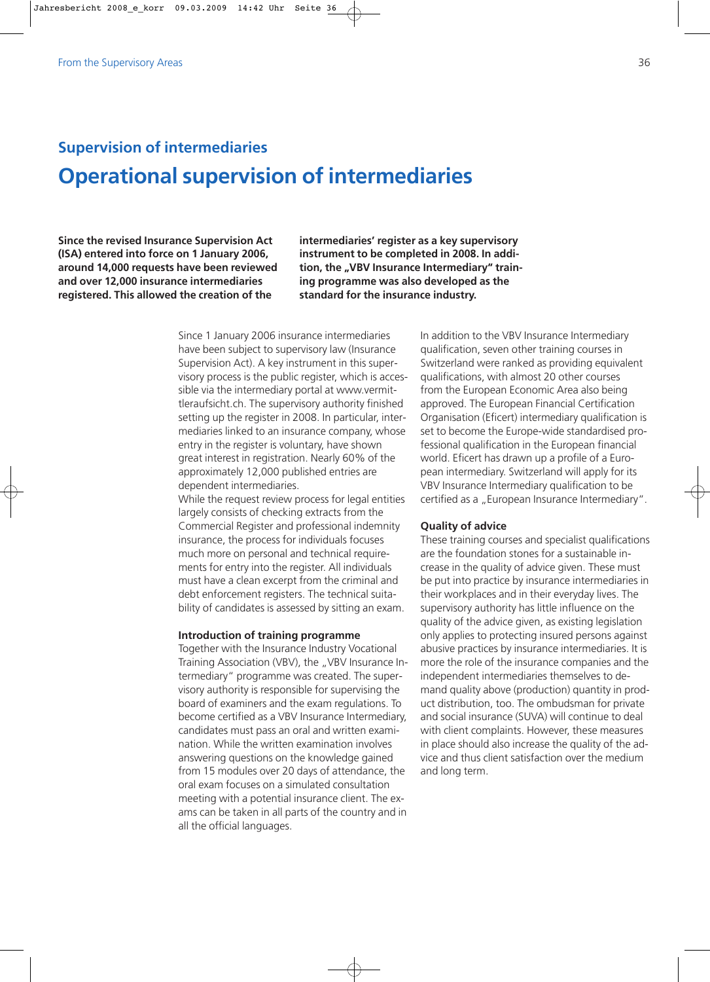# **Supervision of intermediaries Operational supervision of intermediaries**

**Since the revised Insurance Supervision Act (ISA) entered into force on 1 January 2006, around 14,000 requests have been reviewed and over 12,000 insurance intermediaries registered. This allowed the creation of the**

**intermediaries' register as a key supervisory instrument to be completed in 2008. In addi**tion, the "VBV Insurance Intermediary" train**ing programme was also developed as the standard for the insurance industry.**

Since 1 January 2006 insurance intermediaries have been subject to supervisory law (Insurance Supervision Act). A key instrument in this supervisory process is the public register, which is accessible via the intermediary portal at www.vermittleraufsicht.ch. The supervisory authority finished setting up the register in 2008. In particular, intermediaries linked to an insurance company, whose entry in the register is voluntary, have shown great interest in registration. Nearly 60% of the approximately 12,000 published entries are dependent intermediaries.

While the request review process for legal entities largely consists of checking extracts from the Commercial Register and professional indemnity insurance, the process for individuals focuses much more on personal and technical requirements for entry into the register. All individuals must have a clean excerpt from the criminal and debt enforcement registers. The technical suitability of candidates is assessed by sitting an exam.

### **Introduction of training programme**

Together with the Insurance Industry Vocational Training Association (VBV), the "VBV Insurance Intermediary" programme was created. The supervisory authority is responsible for supervising the board of examiners and the exam regulations. To become certified as a VBV Insurance Intermediary, candidates must pass an oral and written examination. While the written examination involves answering questions on the knowledge gained from 15 modules over 20 days of attendance, the oral exam focuses on a simulated consultation meeting with a potential insurance client. The exams can be taken in all parts of the country and in all the official languages.

In addition to the VBV Insurance Intermediary qualification, seven other training courses in Switzerland were ranked as providing equivalent qualifications, with almost 20 other courses from the European Economic Area also being approved. The European Financial Certification Organisation (Eficert) intermediary qualification is set to become the Europe-wide standardised professional qualification in the European financial world. Eficert has drawn up a profile of a European intermediary. Switzerland will apply for its VBV Insurance Intermediary qualification to be certified as a "European Insurance Intermediary".

### **Quality of advice**

These training courses and specialist qualifications are the foundation stones for a sustainable increase in the quality of advice given. These must be put into practice by insurance intermediaries in their workplaces and in their everyday lives. The supervisory authority has little influence on the quality of the advice given, as existing legislation only applies to protecting insured persons against abusive practices by insurance intermediaries. It is more the role of the insurance companies and the independent intermediaries themselves to demand quality above (production) quantity in product distribution, too. The ombudsman for private and social insurance (SUVA) will continue to deal with client complaints. However, these measures in place should also increase the quality of the advice and thus client satisfaction over the medium and long term.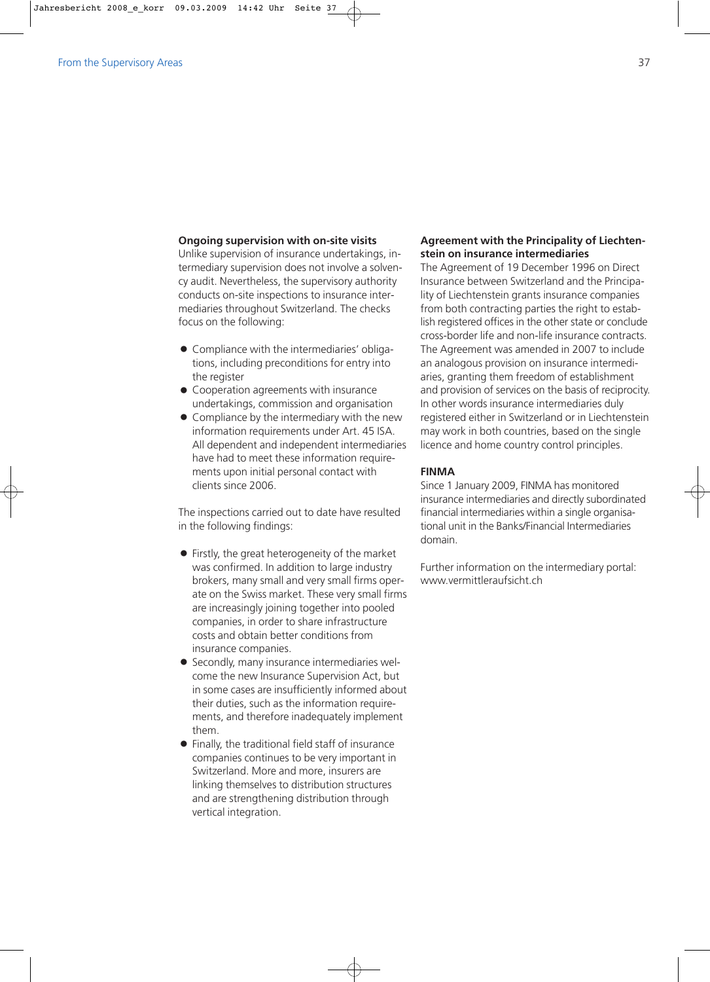# **Ongoing supervision with on-site visits**

Unlike supervision of insurance undertakings, intermediary supervision does not involve a solvency audit. Nevertheless, the supervisory authority conducts on-site inspections to insurance intermediaries throughout Switzerland. The checks focus on the following:

- Compliance with the intermediaries' obligations, including preconditions for entry into the register
- $\bullet$  Cooperation agreements with insurance undertakings, commission and organisation
- Compliance by the intermediary with the new information requirements under Art. 45 ISA. All dependent and independent intermediaries have had to meet these information requirements upon initial personal contact with clients since 2006.

The inspections carried out to date have resulted in the following findings:

- Firstly, the great heterogeneity of the market was confirmed. In addition to large industry brokers, many small and very small firms operate on the Swiss market. These very small firms are increasingly joining together into pooled companies, in order to share infrastructure costs and obtain better conditions from insurance companies.
- Secondly, many insurance intermediaries welcome the new Insurance Supervision Act, but in some cases are insufficiently informed about their duties, such as the information requirements, and therefore inadequately implement them.
- Finally, the traditional field staff of insurance companies continues to be very important in Switzerland. More and more, insurers are linking themselves to distribution structures and are strengthening distribution through vertical integration.

# **Agreement with the Principality of Liechtenstein on insurance intermediaries**

The Agreement of 19 December 1996 on Direct Insurance between Switzerland and the Principality of Liechtenstein grants insurance companies from both contracting parties the right to establish registered offices in the other state or conclude cross-border life and non-life insurance contracts. The Agreement was amended in 2007 to include an analogous provision on insurance intermediaries, granting them freedom of establishment and provision of services on the basis of reciprocity. In other words insurance intermediaries duly registered either in Switzerland or in Liechtenstein may work in both countries, based on the single licence and home country control principles.

## **FINMA**

Since 1 January 2009, FINMA has monitored insurance intermediaries and directly subordinated financial intermediaries within a single organisational unit in the Banks/Financial Intermediaries domain.

Further information on the intermediary portal: www.vermittleraufsicht.ch